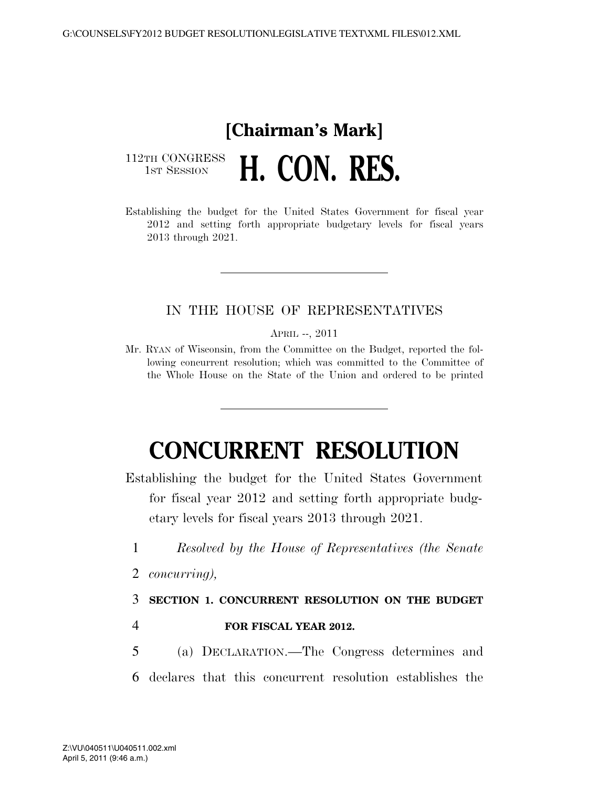### **[Chairman's Mark]**  112TH CONGRESS<br>1st Session H. CON. RES.

Establishing the budget for the United States Government for fiscal year 2012 and setting forth appropriate budgetary levels for fiscal years 2013 through 2021.

### IN THE HOUSE OF REPRESENTATIVES

APRIL --, 2011

Mr. RYAN of Wisconsin, from the Committee on the Budget, reported the following concurrent resolution; which was committed to the Committee of the Whole House on the State of the Union and ordered to be printed

## **CONCURRENT RESOLUTION**

Establishing the budget for the United States Government for fiscal year 2012 and setting forth appropriate budgetary levels for fiscal years 2013 through 2021.

- 1 *Resolved by the House of Representatives (the Senate*
- 2 *concurring),*

3 **SECTION 1. CONCURRENT RESOLUTION ON THE BUDGET** 

### 4 **FOR FISCAL YEAR 2012.**

- 5 (a) DECLARATION.—The Congress determines and
- 6 declares that this concurrent resolution establishes the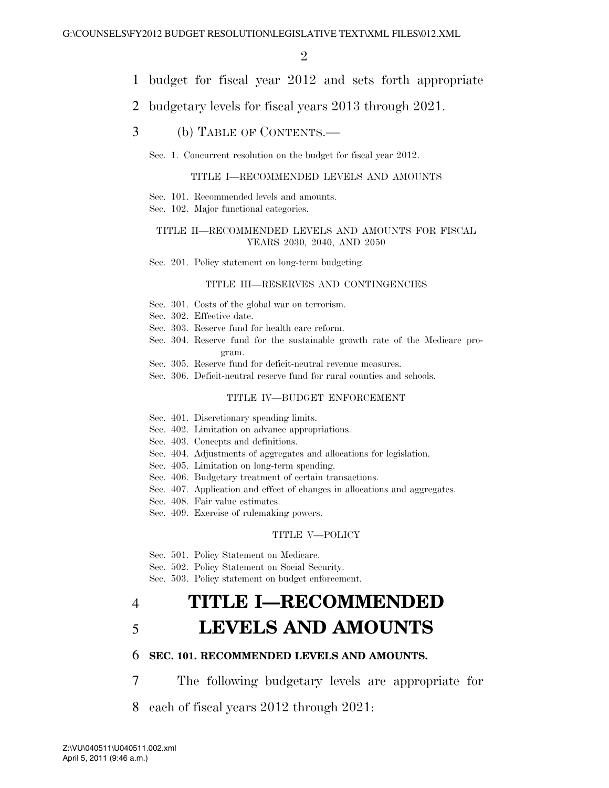- 1 budget for fiscal year 2012 and sets forth appropriate
- 2 budgetary levels for fiscal years 2013 through 2021.
- 3 (b) TABLE OF CONTENTS.—

Sec. 1. Concurrent resolution on the budget for fiscal year 2012.

#### TITLE I—RECOMMENDED LEVELS AND AMOUNTS

- Sec. 101. Recommended levels and amounts.
- Sec. 102. Major functional categories.

#### TITLE II—RECOMMENDED LEVELS AND AMOUNTS FOR FISCAL YEARS 2030, 2040, AND 2050

Sec. 201. Policy statement on long-term budgeting.

#### TITLE III—RESERVES AND CONTINGENCIES

- Sec. 301. Costs of the global war on terrorism.
- Sec. 302. Effective date.
- Sec. 303. Reserve fund for health care reform.
- Sec. 304. Reserve fund for the sustainable growth rate of the Medicare program.
- Sec. 305. Reserve fund for deficit-neutral revenue measures.
- Sec. 306. Deficit-neutral reserve fund for rural counties and schools.

#### TITLE IV—BUDGET ENFORCEMENT

- Sec. 401. Discretionary spending limits.
- Sec. 402. Limitation on advance appropriations.
- Sec. 403. Concepts and definitions.
- Sec. 404. Adjustments of aggregates and allocations for legislation.
- Sec. 405. Limitation on long-term spending.
- Sec. 406. Budgetary treatment of certain transactions.
- Sec. 407. Application and effect of changes in allocations and aggregates.
- Sec. 408. Fair value estimates.
- Sec. 409. Exercise of rulemaking powers.

#### TITLE V—POLICY

- Sec. 501. Policy Statement on Medicare.
- Sec. 502. Policy Statement on Social Security.
- Sec. 503. Policy statement on budget enforcement.

## 4 **TITLE I—RECOMMENDED**  5 **LEVELS AND AMOUNTS**

#### 6 **SEC. 101. RECOMMENDED LEVELS AND AMOUNTS.**

7 The following budgetary levels are appropriate for

8 each of fiscal years 2012 through 2021: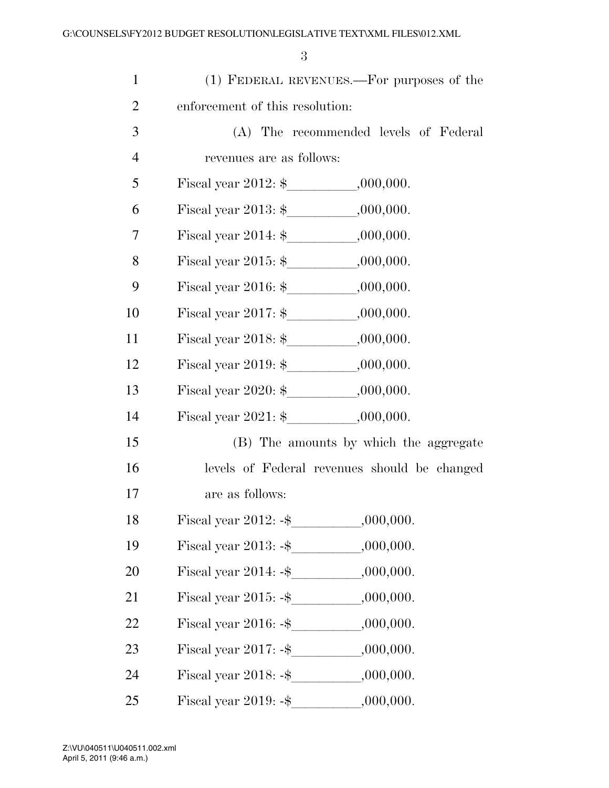| $\mathbf{1}$   |                                              | (1) FEDERAL REVENUES.—For purposes of the    |  |  |  |  |  |  |
|----------------|----------------------------------------------|----------------------------------------------|--|--|--|--|--|--|
| $\overline{2}$ |                                              | enforcement of this resolution:              |  |  |  |  |  |  |
| 3              |                                              | (A) The recommended levels of Federal        |  |  |  |  |  |  |
| $\overline{4}$ | revenues are as follows:                     |                                              |  |  |  |  |  |  |
| 5              |                                              |                                              |  |  |  |  |  |  |
| 6              |                                              |                                              |  |  |  |  |  |  |
| 7              | Fiscal year 2014: $\frac{1}{2}$ , 000,000.   |                                              |  |  |  |  |  |  |
| 8              | Fiscal year 2015: $\frac{1}{2}$ ,000,000.    |                                              |  |  |  |  |  |  |
| 9              |                                              |                                              |  |  |  |  |  |  |
| 10             |                                              |                                              |  |  |  |  |  |  |
| 11             | Fiscal year 2018: $\frac{1}{2}$ ,000,000.    |                                              |  |  |  |  |  |  |
| 12             | Fiscal year 2019: $\frac{1}{2}$ .000,000.    |                                              |  |  |  |  |  |  |
| 13             | Fiscal year 2020: $\frac{1}{2}$ ,000,000.    |                                              |  |  |  |  |  |  |
| 14             | Fiscal year $2021:$ \$ $,000,000.$           |                                              |  |  |  |  |  |  |
| 15             |                                              | (B) The amounts by which the aggregate       |  |  |  |  |  |  |
| 16             |                                              | levels of Federal revenues should be changed |  |  |  |  |  |  |
| 17             | are as follows:                              |                                              |  |  |  |  |  |  |
| 18             | Fiscal year $2012: -\$$                      | ,000,000.                                    |  |  |  |  |  |  |
| 19             |                                              |                                              |  |  |  |  |  |  |
| 20             | Fiscal year 2014: $-\$ ,000,000.             |                                              |  |  |  |  |  |  |
| 21             | Fiscal year $2015: -$ \$    .000,000.        |                                              |  |  |  |  |  |  |
| 22             | Fiscal year 2016: $-\$ ,000,000.             |                                              |  |  |  |  |  |  |
| 23             |                                              |                                              |  |  |  |  |  |  |
| 24             | Fiscal year $2018: -$ \$ __________,000,000. |                                              |  |  |  |  |  |  |
| 25             | Fiscal year $2019: -$ \$                     | ,000,000.                                    |  |  |  |  |  |  |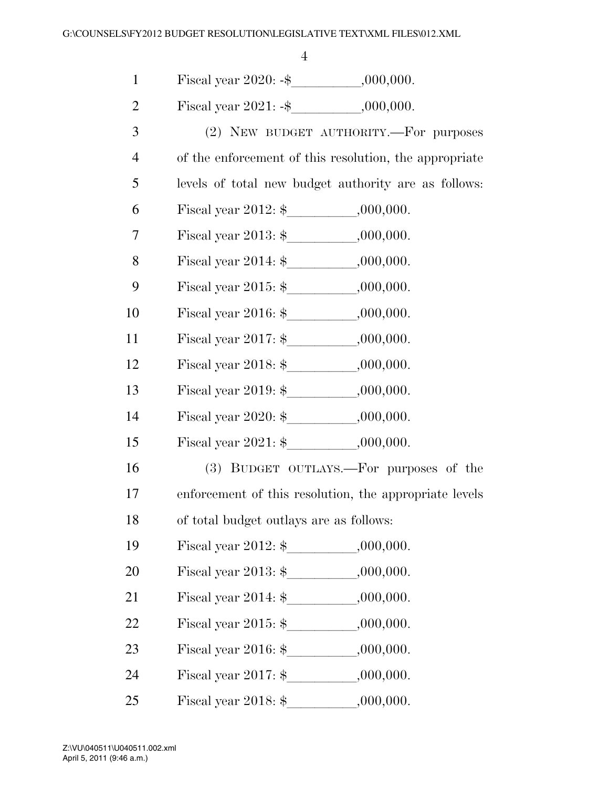1 Fiscal year 2020: -\$\_\_\_\_\_\_\_\_\_\_\_\_,000,000.<br>2 Fiscal year 2021: -\$ .000.000.

Fiscal year  $2021: -$ \$  $,000,000.$ 

| 3              | $(2)$ NEW BUDGET AUTHORITY.—For purposes               |
|----------------|--------------------------------------------------------|
| $\overline{4}$ | of the enforcement of this resolution, the appropriate |

5 levels of total new budget authority are as follows:

- 6 Fiscal year  $2012:$  \$  $,000,000$ .
- 7 Fiscal year  $2013:$  \$  $0.000,000$ .
- 8 Fiscal year 2014: \$ ,000,000.
- 9 Fiscal year  $2015:$  \$  $,000,000$ .
- 10 Fiscal year 2016: \$ .000,000.
- 11 Fiscal year  $2017:$  \$  $,000,000$ .
- 12 Fiscal year  $2018:$  \$  $,000,000$ .
- 13 Fiscal year 2019:  $\frac{1}{2}$ , 000,000.
- 14 Fiscal year 2020: \$ ,000,000.
- 15 Fiscal year  $2021:$  \$  $,000,000$ .
- 16 (3) BUDGET OUTLAYS.—For purposes of the
- 17 enforcement of this resolution, the appropriate levels
- 18 of total budget outlays are as follows:
- 19 Fiscal year 2012: \$ ,000,000.
- 20 Fiscal year  $2013:$  \$, 000,000.
- 21 Fiscal year  $2014:$  \$  $,000,000$ .
- 22 Fiscal year  $2015:$  \$  $,000,000$ .
- 23 Fiscal year  $2016:$  \$, 000,000.
- 24 Fiscal year 2017: \$ ,000,000.
- 25 Fiscal year 2018:  $\frac{1}{2}$ , 000,000.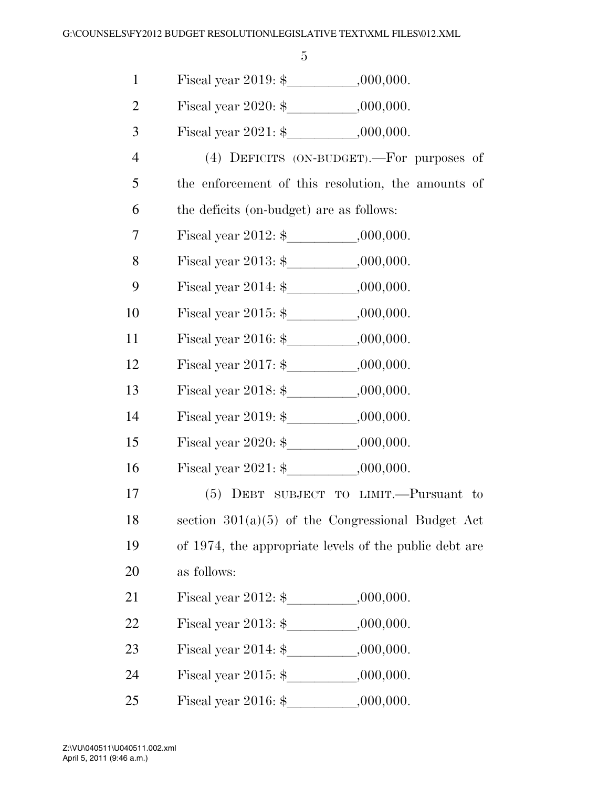| $\mathbf{1}$   |                                                        |           |
|----------------|--------------------------------------------------------|-----------|
| $\overline{2}$ | Fiscal year 2020: $\frac{1}{2}$ ,000,000.              |           |
| 3              |                                                        |           |
| $\overline{4}$ | (4) DEFICITS (ON-BUDGET).—For purposes of              |           |
| 5              | the enforcement of this resolution, the amounts of     |           |
| 6              | the deficits (on-budget) are as follows:               |           |
| 7              |                                                        |           |
| 8              | Fiscal year 2013: $\frac{1}{2}$ ,000,000.              |           |
| 9              | Fiscal year 2014: $\frac{1}{2}$ , 000,000.             |           |
| 10             | Fiscal year 2015: $\frac{1}{2}$ , 000,000.             |           |
| 11             | Fiscal year 2016: $\frac{1}{2}$ .000,000.              |           |
| 12             |                                                        |           |
| 13             | Fiscal year 2018: $\frac{1}{2}$ ,000,000.              |           |
| 14             | Fiscal year 2019: $\frac{1}{2}$ , 000,000.             |           |
| 15             | Fiscal year 2020: $\frac{1}{2}$ .000,000.              |           |
| 16             |                                                        |           |
| 17             | (5) DEBT SUBJECT TO LIMIT.—Pursuant to                 |           |
| 18             | section $301(a)(5)$ of the Congressional Budget Act    |           |
| 19             | of 1974, the appropriate levels of the public debt are |           |
| 20             | as follows:                                            |           |
| 21             |                                                        |           |
| 22             |                                                        |           |
| 23             | Fiscal year $2014:$ \$ $000,000$ .                     |           |
| 24             | Fiscal year 2015: $\frac{1}{2}$ , 000,000.             |           |
| 25             | Fiscal year 2016: $\$                                  | ,000,000. |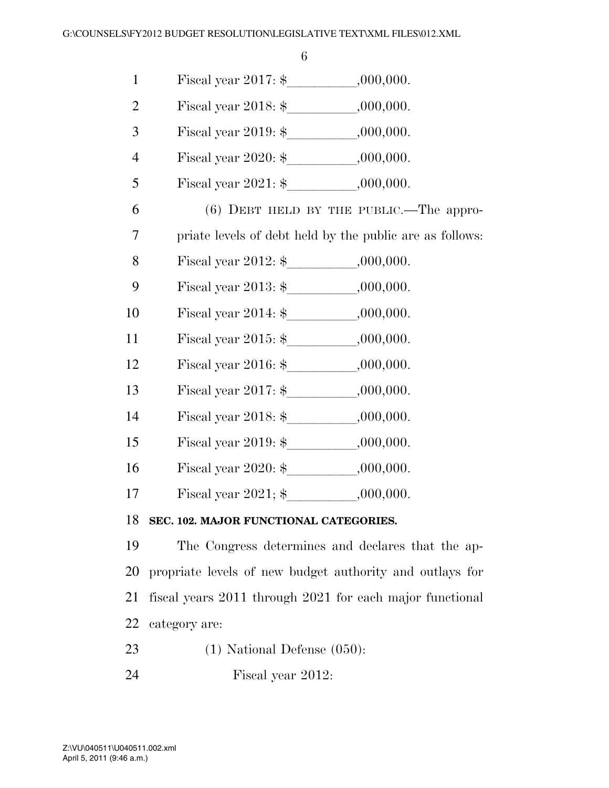| $\mathbf{1}$   |                                                          |
|----------------|----------------------------------------------------------|
| $\overline{2}$ | Fiscal year 2018: $\frac{1}{2}$ .000,000.                |
| 3              | Fiscal year 2019: $\frac{1}{2}$ ,000,000.                |
| $\overline{4}$ |                                                          |
| 5              |                                                          |
| 6              | $(6)$ DEBT HELD BY THE PUBLIC.—The appro-                |
| 7              | priate levels of debt held by the public are as follows: |
| 8              |                                                          |
| 9              |                                                          |
| 10             |                                                          |
| 11             | Fiscal year 2015: $\frac{1}{2}$ , 000,000.               |
| 12             | Fiscal year 2016: $\frac{1}{2}$ , 000,000.               |
| 13             |                                                          |
| 14             | Fiscal year 2018: $\frac{1}{2}$ .000,000.                |
| 15             | Fiscal year 2019: $\frac{1}{2}$ ,000,000.                |
| 16             | Fiscal year 2020: $\frac{1}{2}$ ,000,000.                |
| 17             | Fiscal year 2021; $\frac{1}{2}$ .000,000.                |
| 18             | SEC. 102. MAJOR FUNCTIONAL CATEGORIES.                   |
|                |                                                          |

 The Congress determines and declares that the ap- propriate levels of new budget authority and outlays for fiscal years 2011 through 2021 for each major functional category are:

- (1) National Defense (050):
- Fiscal year 2012: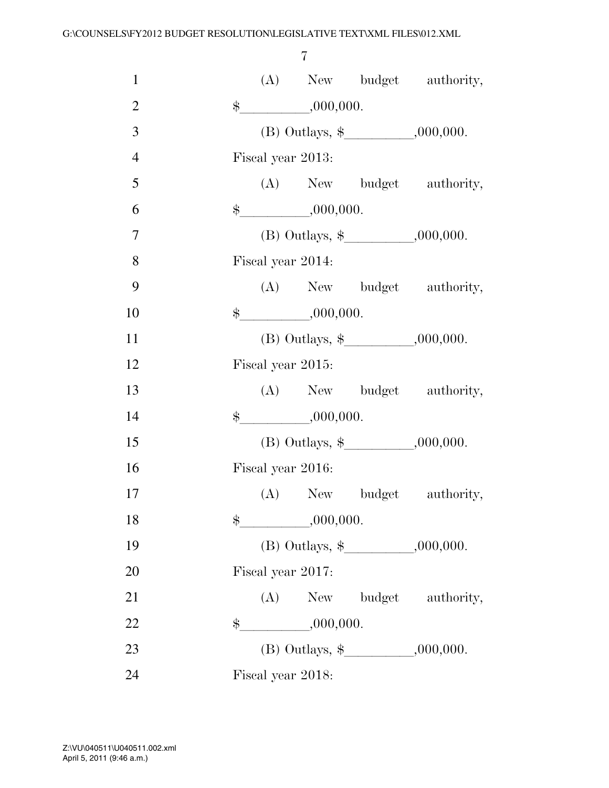| $\mathbf{1}$   |               |                   |                         | (A) New budget authority,                |
|----------------|---------------|-------------------|-------------------------|------------------------------------------|
| $\overline{2}$ | $\frac{1}{2}$ |                   | $-$ ,000,000.           |                                          |
| 3              |               |                   |                         |                                          |
| $\overline{4}$ |               | Fiscal year 2013: |                         |                                          |
| 5              |               |                   |                         | (A) New budget authority,                |
| 6              |               |                   | $\frac{1}{2}$ ,000,000. |                                          |
| $\overline{7}$ |               |                   |                         |                                          |
| 8              |               | Fiscal year 2014: |                         |                                          |
| 9              |               |                   |                         | (A) New budget authority,                |
| 10             |               |                   | $\frac{1}{2}$ ,000,000. |                                          |
| 11             |               |                   |                         |                                          |
| 12             |               | Fiscal year 2015: |                         |                                          |
| 13             |               |                   |                         | (A) New budget authority,                |
| 14             |               |                   |                         |                                          |
| 15             |               |                   |                         | (B) Outlays, $\frac{1}{2}$ , , .000,000. |
| 16             |               | Fiscal year 2016: |                         |                                          |
| 17             |               |                   |                         | (A) New budget authority,                |
| 18             | \$            |                   | ,000,000.               |                                          |
| 19             |               |                   |                         | (B) Outlays, $\frac{1}{2}$ .000,000.     |
| 20             |               | Fiscal year 2017: |                         |                                          |
| 21             |               |                   |                         | (A) New budget authority,                |
| 22             |               |                   | $\frac{1}{2}$ ,000,000. |                                          |
| 23             |               |                   |                         |                                          |
| 24             |               | Fiscal year 2018: |                         |                                          |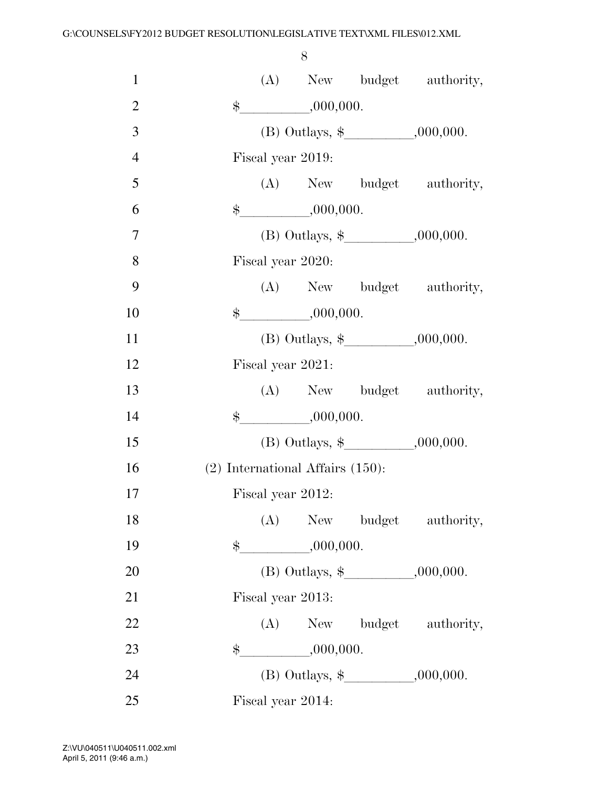| $\mathbf{1}$   |       |     |                                       | (A) New budget authority,                |
|----------------|-------|-----|---------------------------------------|------------------------------------------|
| $\overline{2}$ |       |     | $\frac{1}{2}$ ,000,000.               |                                          |
| 3              |       |     |                                       |                                          |
| $\overline{4}$ |       |     | Fiscal year 2019:                     |                                          |
| 5              |       |     |                                       | (A) New budget authority,                |
| 6              |       |     | $\frac{1}{2}$ ,000,000.               |                                          |
| $\overline{7}$ |       |     |                                       |                                          |
| 8              |       |     | Fiscal year 2020:                     |                                          |
| 9              |       |     |                                       | (A) New budget authority,                |
| 10             |       |     | $\frac{1}{2}$ ,000,000.               |                                          |
| 11             |       |     |                                       | (B) Outlays, $\frac{1}{2}$ , , .000,000. |
| 12             |       |     | Fiscal year 2021:                     |                                          |
| 13             |       |     |                                       | (A) New budget authority,                |
| 14             |       |     | $\frac{1}{2}$ ,000,000.               |                                          |
| 15             |       |     |                                       | (B) Outlays, $\frac{1}{2}$ , , .000,000. |
| 16             |       |     | $(2)$ International Affairs $(150)$ : |                                          |
| 17             |       |     | Fiscal year 2012:                     |                                          |
| 18             |       | (A) |                                       | New budget authority,                    |
| 19             | $\$\$ |     | $-$ ,000,000.                         |                                          |
| 20             |       |     |                                       | (B) Outlays, $\frac{1}{2}$ , 000,000.    |
| 21             |       |     | Fiscal year 2013:                     |                                          |
| 22             |       |     |                                       | (A) New budget authority,                |
| 23             |       |     | $\frac{1}{2}$ ,000,000.               |                                          |
| 24             |       |     |                                       | (B) Outlays, $\frac{1}{2}$ .000,000.     |
| 25             |       |     | Fiscal year 2014:                     |                                          |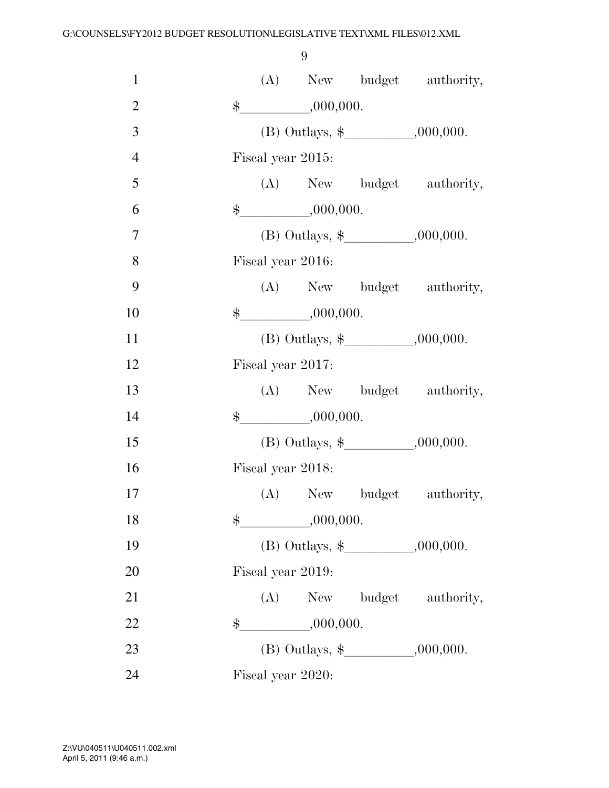| $\mathbf{1}$   |               |                   |                         | (A) New budget authority,            |
|----------------|---------------|-------------------|-------------------------|--------------------------------------|
| $\overline{2}$ |               |                   | $\frac{1}{2}$ ,000,000. |                                      |
| 3              |               |                   |                         | (B) Outlays, $\frac{1}{2}$ .000,000. |
| $\overline{4}$ |               | Fiscal year 2015: |                         |                                      |
| 5              |               |                   |                         | (A) New budget authority,            |
| 6              |               |                   | $\frac{1}{2}$ ,000,000. |                                      |
| $\tau$         |               |                   |                         |                                      |
| 8              |               | Fiscal year 2016: |                         |                                      |
| 9              |               |                   |                         | (A) New budget authority,            |
| 10             |               |                   | $\frac{1}{2}$ ,000,000. |                                      |
| 11             |               |                   |                         | (B) Outlays, $\frac{1}{2}$ .000,000. |
| 12             |               | Fiscal year 2017: |                         |                                      |
| 13             |               |                   |                         | (A) New budget authority,            |
| 14             |               |                   | $\frac{1}{2}$ ,000,000. |                                      |
| 15             |               |                   |                         |                                      |
| 16             |               | Fiscal year 2018: |                         |                                      |
| 17             |               |                   |                         | (A) New budget authority,            |
| 18             | $\frac{1}{2}$ |                   | ,000,000.               |                                      |
| 19             |               |                   |                         |                                      |
| 20             |               | Fiscal year 2019: |                         |                                      |
| 21             |               |                   |                         | (A) New budget authority,            |
| 22             | $\$\$         |                   | $\frac{1}{1000,000}$    |                                      |
| 23             |               |                   |                         |                                      |
| 24             |               | Fiscal year 2020: |                         |                                      |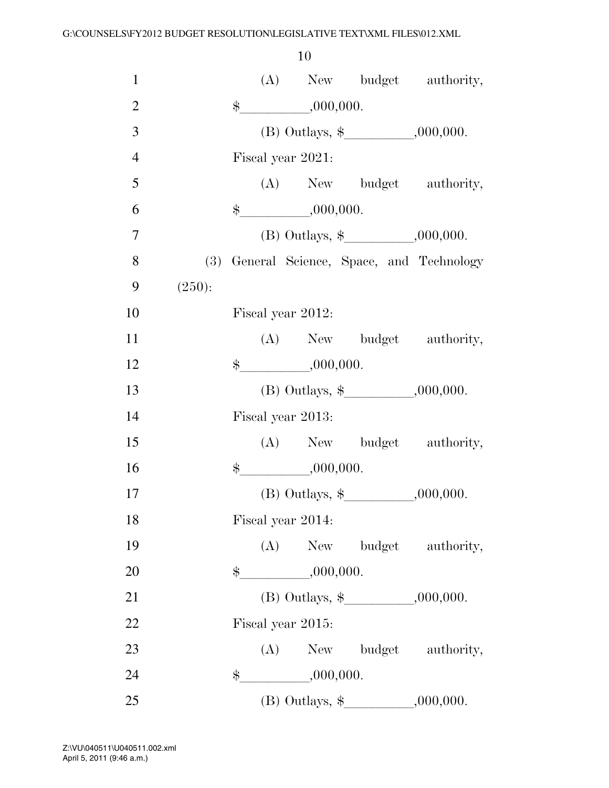| $\mathbf{1}$   |        |                         |                                          | (A) New budget authority,                  |
|----------------|--------|-------------------------|------------------------------------------|--------------------------------------------|
| $\overline{2}$ |        | $\frac{1}{2}$ ,000,000. |                                          |                                            |
| 3              |        |                         |                                          |                                            |
| $\overline{4}$ |        | Fiscal year 2021:       |                                          |                                            |
| 5              |        |                         |                                          | (A) New budget authority,                  |
| 6              |        | $\frac{1}{2}$ ,000,000. |                                          |                                            |
| 7              |        |                         | (B) Outlays, $\frac{1}{2}$ .000,000.     |                                            |
| 8              |        |                         |                                          | (3) General Science, Space, and Technology |
| 9              | (250): |                         |                                          |                                            |
| 10             |        | Fiscal year 2012:       |                                          |                                            |
| 11             |        |                         |                                          | (A) New budget authority,                  |
| 12             |        | $\frac{1}{2}$ ,000,000. |                                          |                                            |
| 13             |        |                         | (B) Outlays, $\frac{1}{2}$ , , .000,000. |                                            |
| 14             |        | Fiscal year 2013:       |                                          |                                            |
| 15             |        |                         |                                          | (A) New budget authority,                  |
| 16             |        | $\frac{1}{2}$ ,000,000. |                                          |                                            |
| 17             |        |                         | (B) Outlays, $\frac{1}{2}$ , .000,000.   |                                            |
| 18             |        | Fiscal year 2014:       |                                          |                                            |
| 19             |        |                         |                                          | (A) New budget authority,                  |
| 20             |        | $\frac{1}{2}$ ,000,000. |                                          |                                            |
| 21             |        |                         |                                          |                                            |
| 22             |        | Fiscal year 2015:       |                                          |                                            |
| 23             |        |                         |                                          | (A) New budget authority,                  |
| 24             |        | $\frac{1}{2}$ ,000,000. |                                          |                                            |
| 25             |        |                         |                                          |                                            |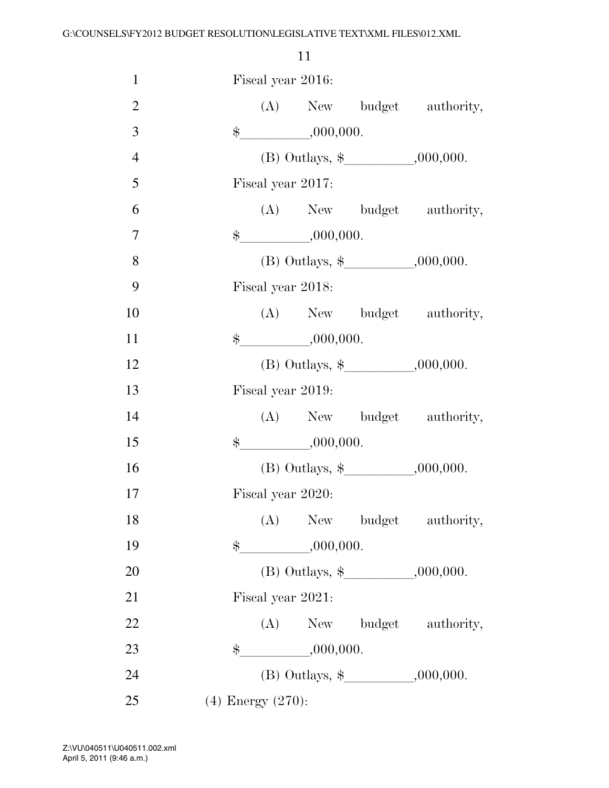| $\mathbf{1}$   |                        | Fiscal year 2016: |                         |                           |
|----------------|------------------------|-------------------|-------------------------|---------------------------|
| $\overline{2}$ |                        |                   |                         | (A) New budget authority, |
| 3              |                        |                   | $\frac{1}{2}$ ,000,000. |                           |
| $\overline{4}$ |                        |                   |                         |                           |
| 5              |                        | Fiscal year 2017: |                         |                           |
| 6              |                        |                   |                         | (A) New budget authority, |
| $\tau$         |                        |                   | $\frac{1}{2}$ ,000,000. |                           |
| 8              |                        |                   |                         |                           |
| 9              |                        | Fiscal year 2018: |                         |                           |
| 10             |                        |                   |                         | (A) New budget authority, |
| 11             |                        |                   | $\frac{1}{2}$ ,000,000. |                           |
| 12             |                        |                   |                         |                           |
| 13             |                        | Fiscal year 2019: |                         |                           |
| 14             |                        |                   |                         | (A) New budget authority, |
| 15             |                        |                   | $\frac{1}{2}$ ,000,000. |                           |
| 16             |                        |                   |                         |                           |
| 17             |                        | Fiscal year 2020: |                         |                           |
| 18             |                        |                   |                         | (A) New budget authority, |
| 19             |                        |                   | $\frac{1}{2}$ ,000,000. |                           |
| 20             |                        |                   |                         |                           |
| 21             |                        | Fiscal year 2021: |                         |                           |
| 22             |                        |                   |                         | (A) New budget authority, |
| 23             |                        |                   | $\frac{1}{2}$ ,000,000. |                           |
| 24             |                        |                   |                         |                           |
| 25             | $(4)$ Energy $(270)$ : |                   |                         |                           |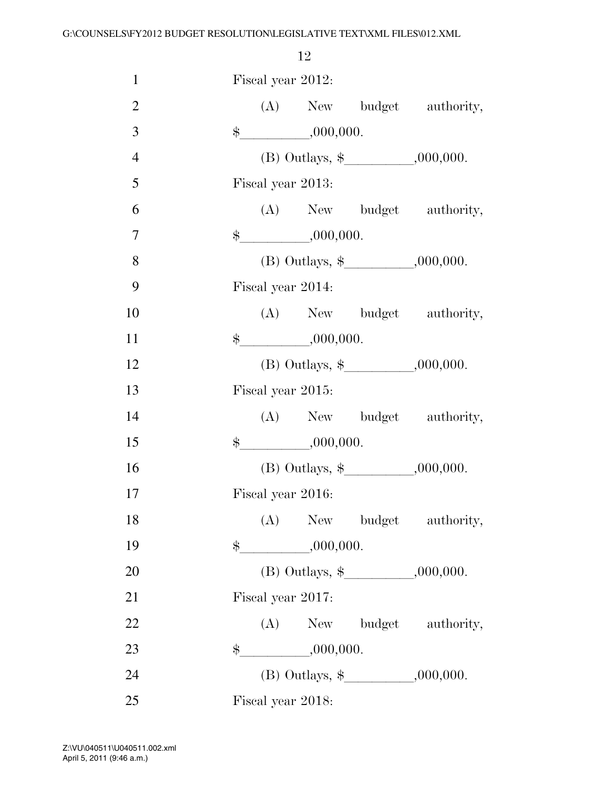| $\mathbf{1}$   |  | Fiscal year 2012:       |                                      |
|----------------|--|-------------------------|--------------------------------------|
| $\mathfrak{2}$ |  |                         | (A) New budget authority,            |
| 3              |  | $\frac{1}{2}$ ,000,000. |                                      |
| $\overline{4}$ |  |                         | (B) Outlays, $\frac{1}{2}$ .000,000. |
| 5              |  | Fiscal year 2013:       |                                      |
| 6              |  |                         | (A) New budget authority,            |
| 7              |  | $\frac{1}{2}$ ,000,000. |                                      |
| 8              |  |                         |                                      |
| 9              |  | Fiscal year 2014:       |                                      |
| 10             |  |                         | (A) New budget authority,            |
| 11             |  | $\frac{1}{2}$ ,000,000. |                                      |
| 12             |  |                         |                                      |
| 13             |  | Fiscal year 2015:       |                                      |
| 14             |  |                         | (A) New budget authority,            |
| 15             |  | $\frac{1}{2}$ ,000,000. |                                      |
| 16             |  |                         |                                      |
| 17             |  | Fiscal year 2016:       |                                      |
| 18             |  |                         | (A) New budget authority,            |
| 19             |  |                         |                                      |
| 20             |  |                         |                                      |
| 21             |  | Fiscal year 2017:       |                                      |
| 22             |  |                         | (A) New budget authority,            |
| 23             |  | $\frac{1}{2}$ ,000,000. |                                      |
| 24             |  |                         |                                      |
| 25             |  | Fiscal year 2018:       |                                      |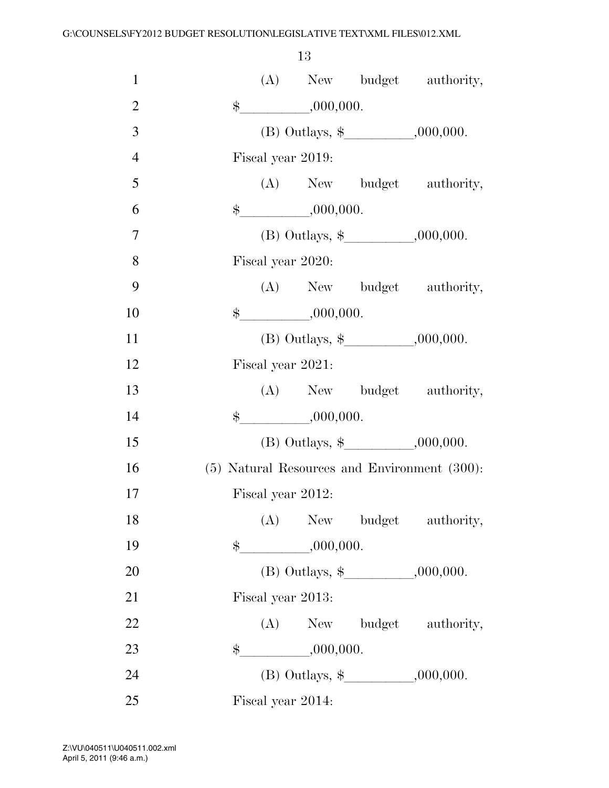| $\mathbf{1}$   | (A) New budget authority,                    |
|----------------|----------------------------------------------|
| $\overline{2}$ | $\frac{1}{2}$ ,000,000.                      |
| 3              | (B) Outlays, $\frac{1}{2}$ .000,000.         |
| $\overline{4}$ | Fiscal year 2019:                            |
| 5              | (A) New budget authority,                    |
| 6              | $\frac{\text{L}}{\text{L}}$ ,000,000.        |
| 7              |                                              |
| 8              | Fiscal year 2020:                            |
| 9              | (A) New budget authority,                    |
| 10             | $\frac{1}{2}$ ,000,000.                      |
| 11             |                                              |
| 12             | Fiscal year 2021:                            |
| 13             | (A) New budget authority,                    |
| 14             | $\frac{1}{2}$ ,000,000.                      |
| 15             | (B) Outlays, $\frac{1}{2}$ , 000,000.        |
| 16             | (5) Natural Resources and Environment (300): |
| 17             | Fiscal year 2012:                            |
| 18             | (A)<br>New budget authority,                 |
| 19             | $\frac{1}{2}$ ,000,000.                      |
| 20             |                                              |
| 21             | Fiscal year 2013:                            |
| 22             | (A) New budget authority,                    |
| 23             | $\frac{1}{2}$ ,000,000.                      |
| 24             |                                              |
| 25             | Fiscal year 2014:                            |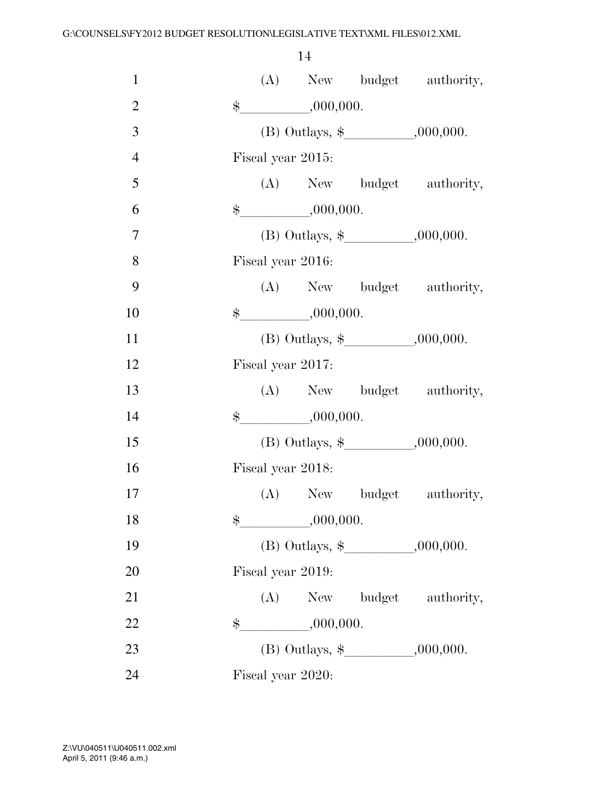| $\mathbf{1}$   |    |                         | (A) New budget authority,                |
|----------------|----|-------------------------|------------------------------------------|
| $\overline{2}$ |    | $\frac{1}{2}$ ,000,000. |                                          |
| 3              |    |                         |                                          |
| $\overline{4}$ |    | Fiscal year 2015:       |                                          |
| 5              |    |                         | (A) New budget authority,                |
| 6              |    |                         |                                          |
| $\overline{7}$ |    |                         |                                          |
| 8              |    | Fiscal year 2016:       |                                          |
| 9              |    |                         | (A) New budget authority,                |
| 10             |    | $\frac{1}{2}$ ,000,000. |                                          |
| 11             |    |                         | (B) Outlays, $\frac{1}{2}$ .000,000.     |
| 12             |    | Fiscal year 2017:       |                                          |
| 13             |    |                         | (A) New budget authority,                |
| 14             |    | $\frac{1}{2}$ ,000,000. |                                          |
| 15             |    |                         | (B) Outlays, $\frac{1}{2}$ , , .000,000. |
| 16             |    | Fiscal year 2018:       |                                          |
| 17             |    |                         | (A) New budget authority,                |
| 18             | \$ | ,000,000.               |                                          |
| 19             |    |                         |                                          |
| 20             |    | Fiscal year 2019:       |                                          |
| 21             |    |                         | (A) New budget authority,                |
| 22             | \$ | $-$ ,000,000.           |                                          |
| 23             |    |                         |                                          |
| 24             |    | Fiscal year 2020:       |                                          |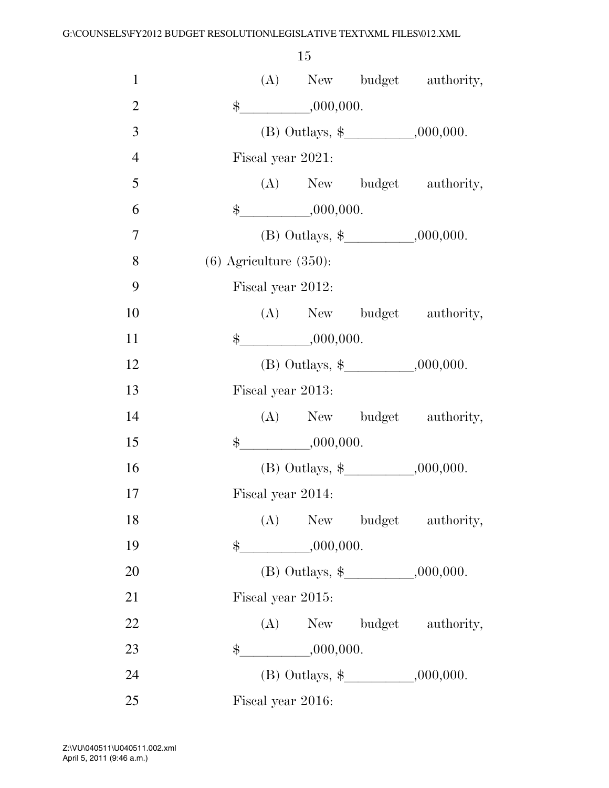| $\mathbf{1}$   | (A) New budget authority,                |  |
|----------------|------------------------------------------|--|
| $\overline{2}$ | $\frac{1}{2}$ ,000,000.                  |  |
| 3              | (B) Outlays, $\frac{1}{2}$ , , .000,000. |  |
| $\overline{4}$ | Fiscal year 2021:                        |  |
| 5              | (A) New budget authority,                |  |
| 6              | $\frac{1}{2}$ ,000,000.                  |  |
| 7              |                                          |  |
| 8              | $(6)$ Agriculture $(350)$ :              |  |
| 9              | Fiscal year 2012:                        |  |
| 10             | (A) New budget authority,                |  |
| 11             | $\frac{\text{L}}{\text{L}}$ ,000,000.    |  |
| 12             | (B) Outlays, $\frac{1}{2}$ .000,000.     |  |
| 13             | Fiscal year 2013:                        |  |
| 14             | (A) New budget authority,                |  |
| 15             | $\frac{1}{2}$ ,000,000.                  |  |
| 16             |                                          |  |
| 17             | Fiscal year 2014:                        |  |
| 18             | (A)<br>New budget authority,             |  |
| 19             | $\frac{1}{2}$ ,000,000.                  |  |
| 20             |                                          |  |
| 21             | Fiscal year 2015:                        |  |
| 22             | (A) New budget authority,                |  |
| 23             | $\frac{1}{2}$ ,000,000.                  |  |
| 24             |                                          |  |
| 25             | Fiscal year 2016:                        |  |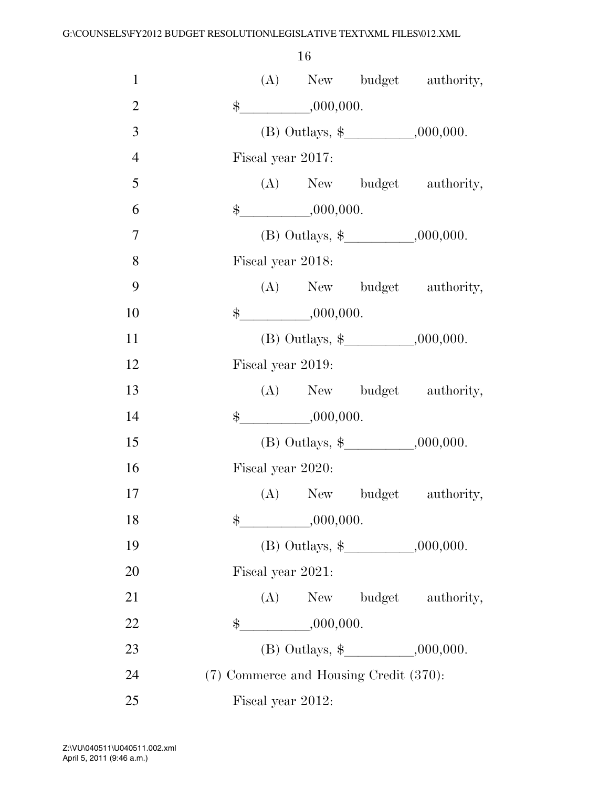| $\mathbf{1}$   |       |                          |                                        | (A) New budget authority,                |
|----------------|-------|--------------------------|----------------------------------------|------------------------------------------|
| $\overline{2}$ |       | $\frac{1}{2}$ ,000,000.  |                                        |                                          |
| 3              |       |                          |                                        |                                          |
| $\overline{4}$ |       | Fiscal year 2017:        |                                        |                                          |
| 5              |       |                          |                                        | (A) New budget authority,                |
| 6              |       | $\frac{1}{2}$ ,000,000.  |                                        |                                          |
| 7              |       |                          |                                        |                                          |
| 8              |       | Fiscal year 2018:        |                                        |                                          |
| 9              |       |                          |                                        | (A) New budget authority,                |
| 10             |       | $\frac{1}{2}$ ,000,000.  |                                        |                                          |
| 11             |       |                          |                                        |                                          |
| 12             |       | Fiscal year 2019:        |                                        |                                          |
| 13             |       |                          |                                        | (A) New budget authority,                |
| 14             |       | $*$ <sub>000,000</sub> . |                                        |                                          |
| 15             |       |                          |                                        | (B) Outlays, $\frac{1}{2}$ , , .000,000. |
| 16             |       | Fiscal year 2020:        |                                        |                                          |
| 17             |       |                          |                                        | (A) New budget authority,                |
| 18             | \$    | ,000,000.                |                                        |                                          |
| 19             |       |                          |                                        |                                          |
| 20             |       | Fiscal year 2021:        |                                        |                                          |
| 21             |       |                          |                                        | (A) New budget authority,                |
| 22             | $\$\$ | ,000,000.                |                                        |                                          |
| 23             |       |                          |                                        |                                          |
| 24             |       |                          | (7) Commerce and Housing Credit (370): |                                          |
| 25             |       | Fiscal year 2012:        |                                        |                                          |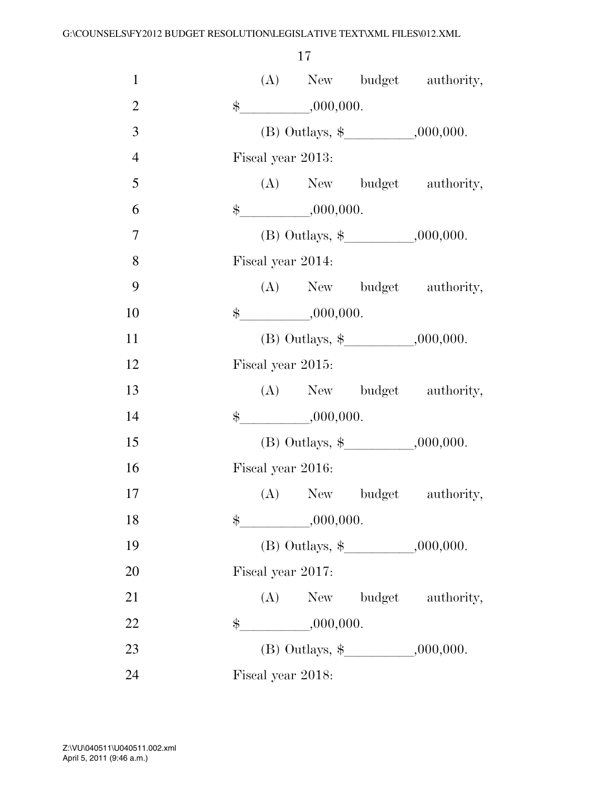| $\mathbf{1}$   |               |                                       | (A) New budget authority,             |
|----------------|---------------|---------------------------------------|---------------------------------------|
| $\overline{2}$ |               | $\frac{1}{2}$ ,000,000.               |                                       |
| 3              |               |                                       |                                       |
| $\overline{4}$ |               | Fiscal year 2013:                     |                                       |
| 5              |               |                                       | (A) New budget authority,             |
| 6              |               | $\frac{\text{L}}{\text{L}}$ ,000,000. |                                       |
| $\overline{7}$ |               |                                       |                                       |
| 8              |               | Fiscal year 2014:                     |                                       |
| 9              |               |                                       | (A) New budget authority,             |
| 10             |               | $\frac{1}{2}$ ,000,000.               |                                       |
| 11             |               |                                       |                                       |
| 12             |               | Fiscal year 2015:                     |                                       |
| 13             |               |                                       | (A) New budget authority,             |
| 14             |               | $\frac{1}{2}$ ,000,000.               |                                       |
| 15             |               |                                       | (B) Outlays, $\frac{1}{2}$ , 000,000. |
| 16             |               | Fiscal year 2016:                     |                                       |
| 17             |               |                                       | (A) New budget authority,             |
| 18             | $\frac{1}{2}$ | ,000,000.                             |                                       |
| 19             |               |                                       |                                       |
| 20             |               | Fiscal year 2017:                     |                                       |
| 21             |               |                                       | (A) New budget authority,             |
| 22             | \$            | ,000,000.                             |                                       |
| 23             |               |                                       |                                       |
| 24             |               | Fiscal year 2018:                     |                                       |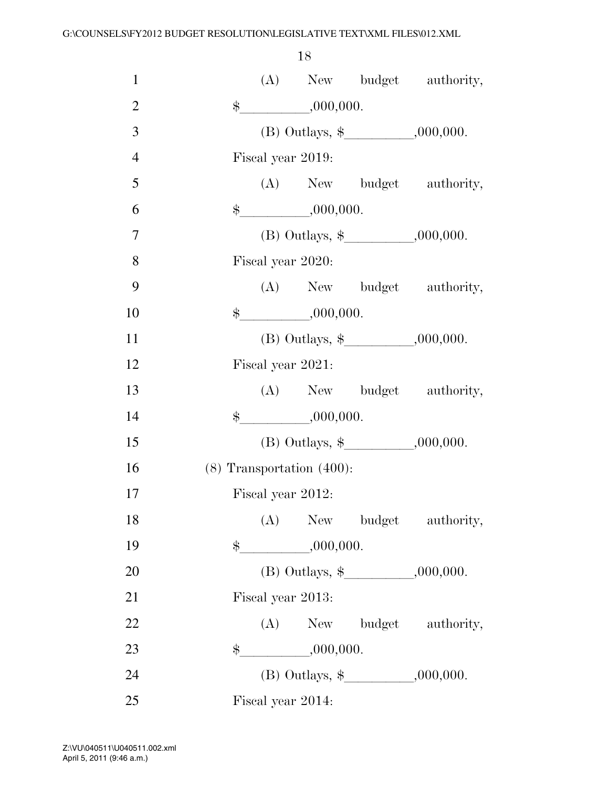| $\mathbf{1}$   |               |     |                                       | (A) New budget authority,                |
|----------------|---------------|-----|---------------------------------------|------------------------------------------|
| $\overline{2}$ |               |     | ,000,000.                             |                                          |
| 3              |               |     |                                       |                                          |
| $\overline{4}$ |               |     | Fiscal year 2019:                     |                                          |
| 5              |               |     |                                       | (A) New budget authority,                |
| 6              |               |     | $\frac{\text{L}}{\text{L}}$ ,000,000. |                                          |
| $\overline{7}$ |               |     |                                       |                                          |
| 8              |               |     | Fiscal year 2020:                     |                                          |
| 9              |               |     |                                       | (A) New budget authority,                |
| 10             | $\frac{1}{2}$ |     | ,000,000.                             |                                          |
| 11             |               |     |                                       |                                          |
| 12             |               |     | Fiscal year 2021:                     |                                          |
| 13             |               |     |                                       | (A) New budget authority,                |
| 14             |               |     | $\frac{1}{2}$ ,000,000.               |                                          |
| 15             |               |     |                                       | (B) Outlays, $\frac{1}{2}$ , , .000,000. |
| 16             |               |     | $(8)$ Transportation $(400)$ :        |                                          |
| 17             |               |     | Fiscal year 2012:                     |                                          |
| 18             |               | (A) |                                       | New budget authority,                    |
| 19             | $\clubsuit$   |     | $-$ ,000,000.                         |                                          |
| 20             |               |     |                                       | (B) Outlays, $\frac{1}{2}$ , 000,000.    |
| 21             |               |     | Fiscal year 2013:                     |                                          |
| 22             |               |     |                                       | (A) New budget authority,                |
| 23             |               |     | $\frac{1}{2}$ ,000,000.               |                                          |
| 24             |               |     |                                       |                                          |
| 25             |               |     | Fiscal year 2014:                     |                                          |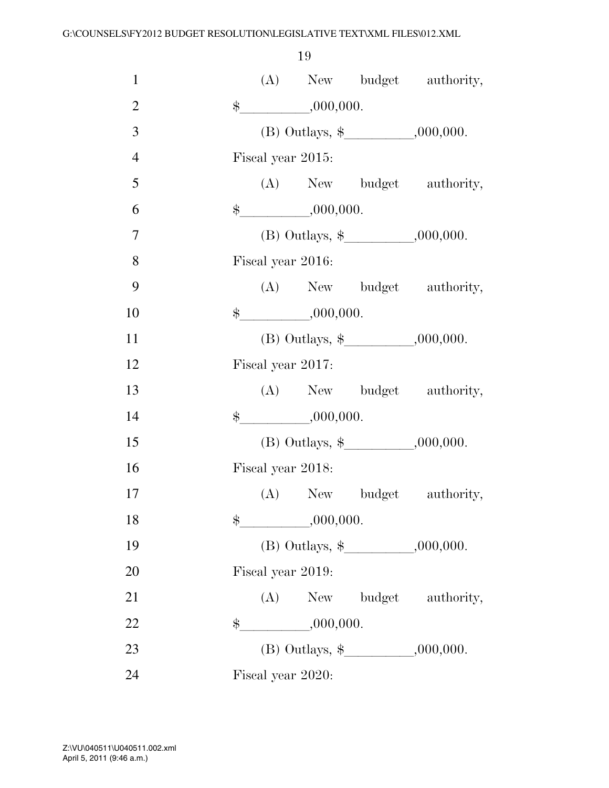| $\mathbf{1}$   |               |                         | (A) New budget authority,            |
|----------------|---------------|-------------------------|--------------------------------------|
| $\mathbf{2}$   |               | $\frac{1}{2}$ ,000,000. |                                      |
| 3              |               |                         | (B) Outlays, $\frac{1}{2}$ .000,000. |
| $\overline{4}$ |               | Fiscal year 2015:       |                                      |
| 5              |               |                         | (A) New budget authority,            |
| 6              |               | $\frac{1}{2}$ ,000,000. |                                      |
| $\overline{7}$ |               |                         |                                      |
| 8              |               | Fiscal year 2016:       |                                      |
| 9              |               |                         | (A) New budget authority,            |
| 10             |               | $\frac{1}{2}$ ,000,000. |                                      |
| 11             |               |                         |                                      |
| 12             |               | Fiscal year 2017:       |                                      |
| 13             |               |                         | (A) New budget authority,            |
| 14             |               | $\frac{1}{2}$ ,000,000. |                                      |
| 15             |               |                         |                                      |
| 16             |               | Fiscal year 2018:       |                                      |
| 17             |               |                         | (A) New budget authority,            |
| 18             | $\frac{1}{2}$ | ,000,000.               |                                      |
| 19             |               |                         |                                      |
| 20             |               | Fiscal year 2019:       |                                      |
| 21             |               |                         | (A) New budget authority,            |
| 22             |               | $\frac{1}{2}$ ,000,000. |                                      |
| 23             |               |                         |                                      |
| 24             |               | Fiscal year 2020:       |                                      |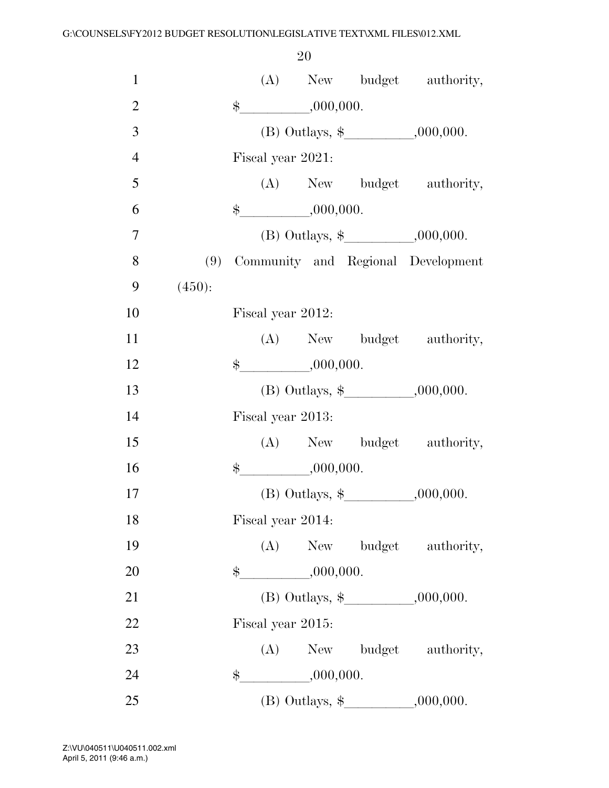| $\mathbf{1}$   |        |             |                         |  | (A) New budget authority,                |
|----------------|--------|-------------|-------------------------|--|------------------------------------------|
| $\mathbf{2}$   |        | $\ddot{\$}$ | ,000,000.               |  |                                          |
| 3              |        |             |                         |  |                                          |
| $\overline{4}$ |        |             | Fiscal year 2021:       |  |                                          |
| 5              |        |             |                         |  | (A) New budget authority,                |
| 6              |        |             | $\frac{1}{2}$ ,000,000. |  |                                          |
| $\overline{7}$ |        |             |                         |  | (B) Outlays, $\frac{1}{2}$ , , .000,000. |
| 8              |        |             |                         |  | (9) Community and Regional Development   |
| 9              | (450): |             |                         |  |                                          |
| 10             |        |             | Fiscal year 2012:       |  |                                          |
| 11             |        |             |                         |  | (A) New budget authority,                |
| 12             |        |             | $\frac{1}{2}$ ,000,000. |  |                                          |
| 13             |        |             |                         |  | (B) Outlays, $\frac{1}{2}$ .000,000.     |
| 14             |        |             | Fiscal year 2013:       |  |                                          |
| 15             |        |             |                         |  | (A) New budget authority,                |
| 16             |        |             | $\$\, 000,000.$         |  |                                          |
| 17             |        |             |                         |  |                                          |
| 18             |        |             | Fiscal year 2014:       |  |                                          |
| 19             |        |             |                         |  | (A) New budget authority,                |
| 20             |        |             | $\frac{1}{2}$ ,000,000. |  |                                          |
| 21             |        |             |                         |  |                                          |
| 22             |        |             | Fiscal year 2015:       |  |                                          |
| 23             |        |             |                         |  | (A) New budget authority,                |
| 24             |        |             | $\frac{1}{2}$ ,000,000. |  |                                          |
| 25             |        |             |                         |  | (B) Outlays, $\frac{1}{2}$ .000,000.     |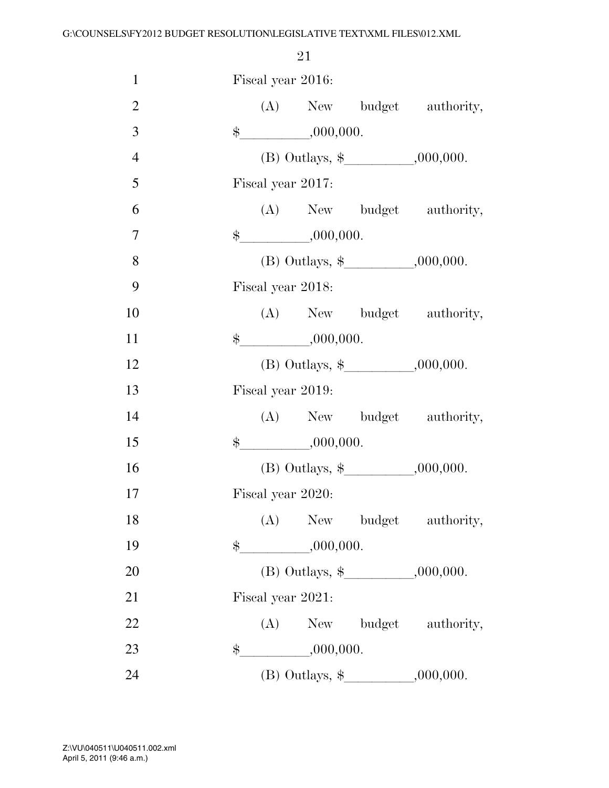| $\mathbf{1}$   | Fiscal year 2016:                    |  |
|----------------|--------------------------------------|--|
| $\overline{2}$ | (A) New budget authority,            |  |
| 3              | $\frac{1}{2}$ ,000,000.              |  |
| $\overline{4}$ | (B) Outlays, $\frac{1}{2}$ .000,000. |  |
| 5              | Fiscal year 2017:                    |  |
| 6              | (A) New budget authority,            |  |
| $\overline{7}$ | $\frac{1}{2}$ ,000,000.              |  |
| 8              | (B) Outlays, $\frac{1}{2}$ .000,000. |  |
| 9              | Fiscal year 2018:                    |  |
| 10             | (A) New budget authority,            |  |
| 11             | $\frac{1}{2}$ ,000,000.              |  |
| 12             | (B) Outlays, $\frac{1}{2}$ .000,000. |  |
| 13             | Fiscal year 2019:                    |  |
| 14             | (A) New budget authority,            |  |
| 15             | $\frac{1}{2}$ ,000,000.              |  |
| 16             |                                      |  |
| 17             | Fiscal year 2020:                    |  |
| 18             | (A) New budget authority,            |  |
| 19             | $-$ ,000,000.<br>$\frac{1}{2}$       |  |
| 20             |                                      |  |
| 21             | Fiscal year 2021:                    |  |
| 22             | (A) New budget authority,            |  |
| 23             | $\frac{1}{1000,000}.$<br>\$          |  |
| 24             |                                      |  |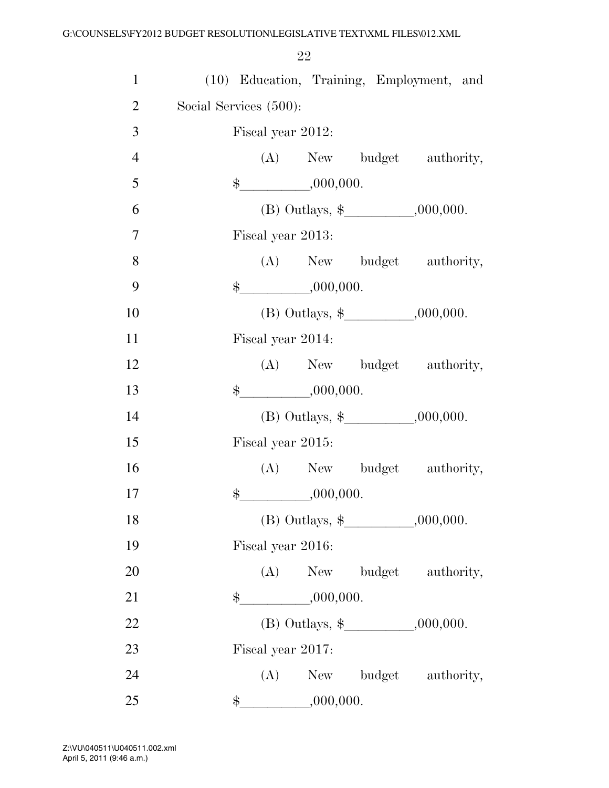| $\mathbf{1}$   |                                                     |           | (10) Education, Training, Employment, and |
|----------------|-----------------------------------------------------|-----------|-------------------------------------------|
| $\overline{2}$ | Social Services (500):                              |           |                                           |
| 3              | Fiscal year 2012:                                   |           |                                           |
| $\overline{4}$ |                                                     |           | (A) New budget authority,                 |
| 5              | $\frac{\text{L}}{\text{L}}$ ,000,000.               |           |                                           |
| 6              |                                                     |           |                                           |
| $\overline{7}$ | Fiscal year 2013:                                   |           |                                           |
| 8              |                                                     |           | (A) New budget authority,                 |
| 9              | $\frac{1}{2}$ ,000,000.                             |           |                                           |
| 10             |                                                     |           |                                           |
| 11             | Fiscal year 2014:                                   |           |                                           |
| 12             |                                                     |           | (A) New budget authority,                 |
| 13             | $\frac{1}{2}$ ,000,000.                             |           |                                           |
| 14             |                                                     |           |                                           |
| 15             | Fiscal year 2015:                                   |           |                                           |
| 16             |                                                     |           | (A) New budget authority,                 |
| 17             | $\frac{1}{2}$ ,000,000.                             |           |                                           |
| 18             | (B) Outlays, $\frac{1}{2}$ _______________,000,000. |           |                                           |
| 19             | Fiscal year 2016:                                   |           |                                           |
| 20             |                                                     |           | (A) New budget authority,                 |
| 21             | \$                                                  | ,000,000. |                                           |
|                |                                                     |           | (B) Outlays, $\frac{1}{2}$ , , .000,000.  |
| 22             |                                                     |           |                                           |
| 23             | Fiscal year 2017:                                   |           |                                           |
| 24             |                                                     |           | (A) New budget authority,                 |
| 25             | $\frac{1}{2}$ ,000,000.                             |           |                                           |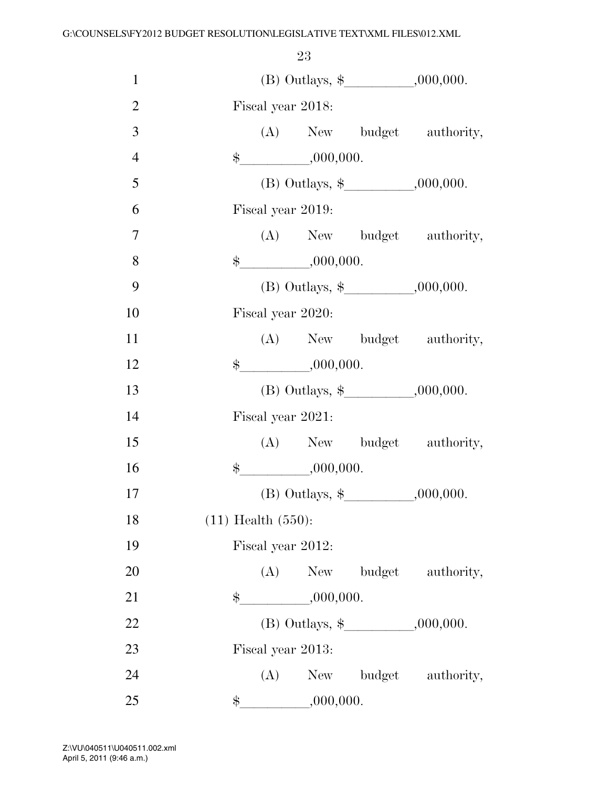|                | 23                                                   |  |
|----------------|------------------------------------------------------|--|
| $\mathbf{1}$   | (B) Outlays, $\frac{1}{2}$ .000,000.                 |  |
| $\mathfrak{2}$ | Fiscal year 2018:                                    |  |
| 3              | (A) New budget authority,                            |  |
| $\overline{4}$ | $\frac{1}{2}$ ,000,000.                              |  |
| 5              | (B) Outlays, $\frac{1}{2}$ , 000,000.                |  |
| 6              | Fiscal year 2019:                                    |  |
| $\overline{7}$ | (A) New budget authority,                            |  |
| 8              | $\frac{1}{2}$ ,000,000.                              |  |
| 9              | (B) Outlays, $\frac{1}{2}$ ________________,000,000. |  |
| 10             | Fiscal year 2020:                                    |  |
| 11             | (A) New budget authority,                            |  |
| 12             | $\frac{1}{2}$ .000,000.                              |  |
| 13             |                                                      |  |
| 14             | Fiscal year 2021:                                    |  |
| 15             | (A) New budget authority,                            |  |
| 16             | $\frac{1}{2}$ ,000,000.                              |  |
| 17             | (B) Outlays, $\frac{1}{2}$ , 000,000.                |  |
| 18             | $(11)$ Health $(550)$ :                              |  |
| 19             | Fiscal year 2012:                                    |  |
| 20             | (A) New budget authority,                            |  |
| 21             | $\frac{1}{2}$ ,000,000.                              |  |
| 22             |                                                      |  |
|                |                                                      |  |
| 23             | Fiscal year 2013:                                    |  |
| 24             | (A) New budget authority,                            |  |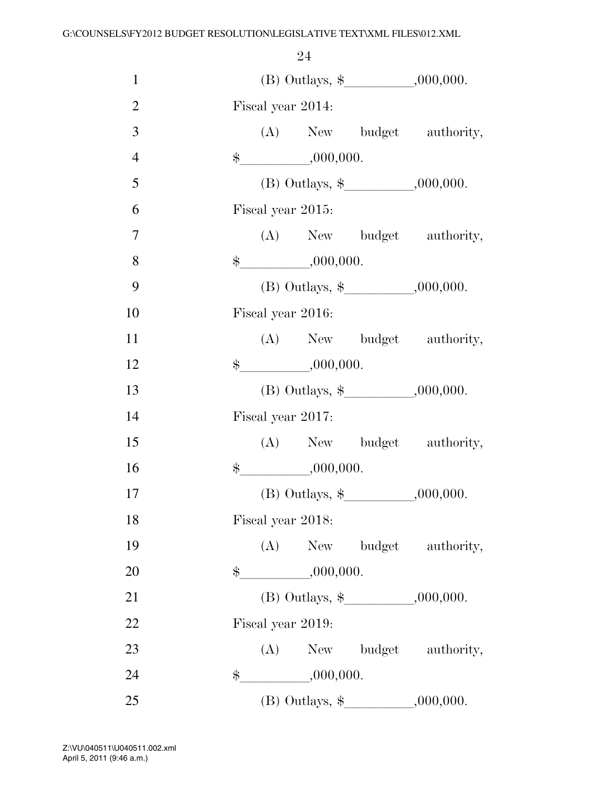| $\mathbf{1}$   |                   |                         |                                          |
|----------------|-------------------|-------------------------|------------------------------------------|
| $\overline{2}$ | Fiscal year 2014: |                         |                                          |
| 3              |                   |                         | (A) New budget authority,                |
| $\overline{4}$ |                   | $\frac{1}{2}$ ,000,000. |                                          |
| 5              |                   |                         |                                          |
| 6              | Fiscal year 2015: |                         |                                          |
| 7              |                   |                         | (A) New budget authority,                |
| 8              |                   | $\frac{1}{2}$ ,000,000. |                                          |
| 9              |                   |                         | (B) Outlays, $\frac{1}{2}$ , , .000,000. |
| 10             | Fiscal year 2016: |                         |                                          |
| 11             |                   |                         | (A) New budget authority,                |
| 12             |                   | $*, 000, 000.$          |                                          |
| 13             |                   |                         | (B) Outlays, $\frac{1}{2}$ , , .000,000. |
| 14             | Fiscal year 2017: |                         |                                          |
| 15             |                   |                         | (A) New budget authority,                |
| 16             |                   | $*, 000, 000.$          |                                          |
| 17             |                   |                         | (B) Outlays, $\frac{1}{2}$ , 000,000.    |
| 18             | Fiscal year 2018: |                         |                                          |
| 19             |                   |                         | (A) New budget authority,                |
| 20             |                   | $\frac{1}{2}$ ,000,000. |                                          |
| 21             |                   |                         |                                          |
| 22             | Fiscal year 2019: |                         |                                          |
| 23             |                   |                         | (A) New budget authority,                |
| 24             |                   | $\frac{1}{2}$ ,000,000. |                                          |
| 25             |                   |                         | (B) Outlays, $\frac{1}{2}$ , 000,000.    |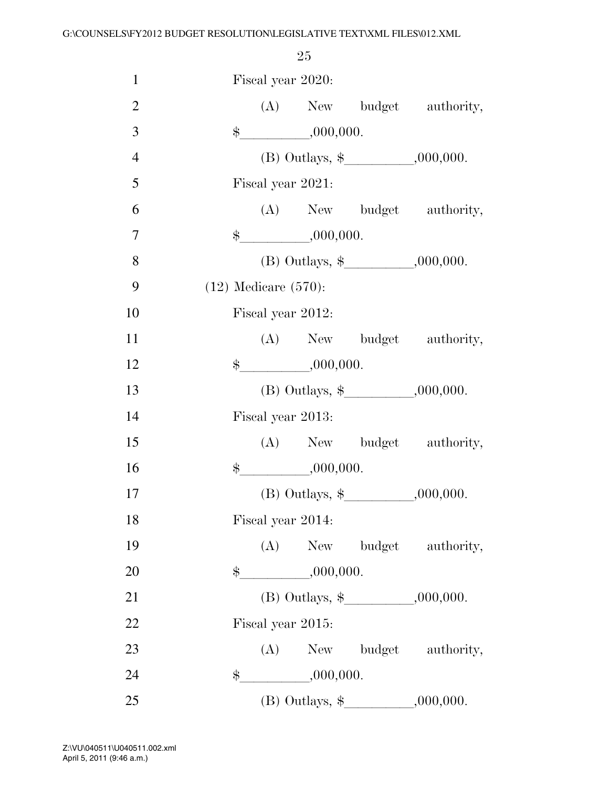| $\mathbf{1}$   | Fiscal year 2020:         |           |                                       |
|----------------|---------------------------|-----------|---------------------------------------|
| $\overline{2}$ |                           |           | (A) New budget authority,             |
| 3              | $\frac{1}{2}$ ,000,000.   |           |                                       |
| $\overline{4}$ |                           |           | (B) Outlays, $\frac{1}{2}$ .000,000.  |
| 5              | Fiscal year 2021:         |           |                                       |
| 6              |                           |           | (A) New budget authority,             |
| $\overline{7}$ | $\frac{1}{2}$ ,000,000.   |           |                                       |
| 8              |                           |           |                                       |
| 9              | $(12)$ Medicare $(570)$ : |           |                                       |
| 10             | Fiscal year 2012:         |           |                                       |
| 11             |                           |           | (A) New budget authority,             |
| 12             | $\frac{1}{2}$ ,000,000.   |           |                                       |
| 13             |                           |           |                                       |
| 14             | Fiscal year 2013:         |           |                                       |
| 15             |                           |           | (A) New budget authority,             |
| 16             |                           |           |                                       |
| 17             |                           |           | (B) Outlays, $\frac{1}{2}$ .000,000.  |
| 18             | Fiscal year 2014:         |           |                                       |
| 19             | (A)                       |           | New budget authority,                 |
| 20             | \$                        | ,000,000. |                                       |
| 21             |                           |           |                                       |
| 22             | Fiscal year 2015:         |           |                                       |
| 23             |                           |           | (A) New budget authority,             |
| 24             | \$                        | ,000,000. |                                       |
| 25             |                           |           | (B) Outlays, $\frac{1}{2}$ , 000,000. |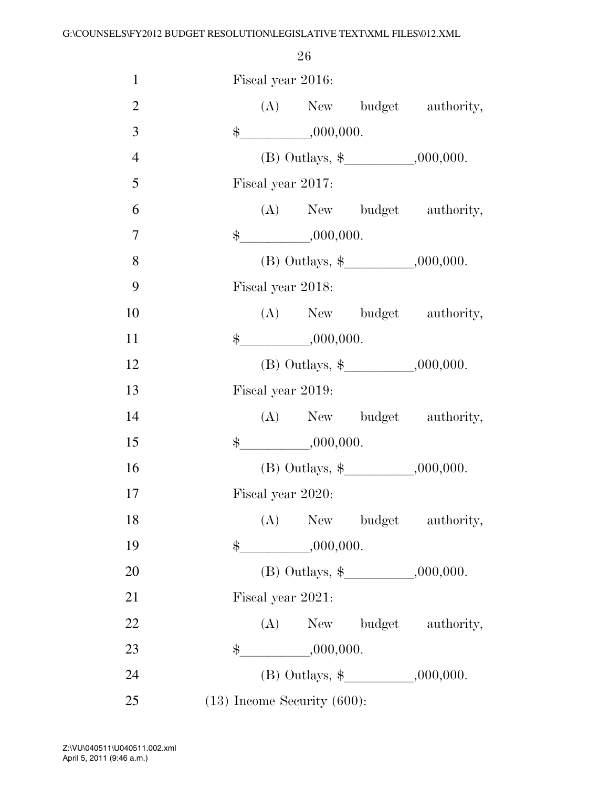| $\mathbf{1}$   | Fiscal year 2016: |                                  |                           |
|----------------|-------------------|----------------------------------|---------------------------|
| $\overline{2}$ |                   |                                  | (A) New budget authority, |
| 3              |                   | $\frac{1}{2}$ ,000,000.          |                           |
| $\overline{4}$ |                   |                                  |                           |
| 5              | Fiscal year 2017: |                                  |                           |
| 6              |                   |                                  | (A) New budget authority, |
| $\tau$         |                   | $\frac{1}{2}$ ,000,000.          |                           |
| 8              |                   |                                  |                           |
| 9              | Fiscal year 2018: |                                  |                           |
| 10             |                   |                                  | (A) New budget authority, |
| 11             |                   | $\frac{1}{2}$ ,000,000.          |                           |
| 12             |                   |                                  |                           |
| 13             | Fiscal year 2019: |                                  |                           |
| 14             |                   |                                  | (A) New budget authority, |
| 15             |                   | $\frac{1}{2}$ ,000,000.          |                           |
| 16             |                   |                                  |                           |
| 17             | Fiscal year 2020: |                                  |                           |
| 18             |                   |                                  | (A) New budget authority, |
| 19             | \$                | $-$ ,000,000.                    |                           |
| 20             |                   |                                  |                           |
| 21             | Fiscal year 2021: |                                  |                           |
| 22             |                   |                                  | (A) New budget authority, |
| 23             |                   | $\frac{1}{2}$ ,000,000.          |                           |
| 24             |                   |                                  |                           |
| 25             |                   | $(13)$ Income Security $(600)$ : |                           |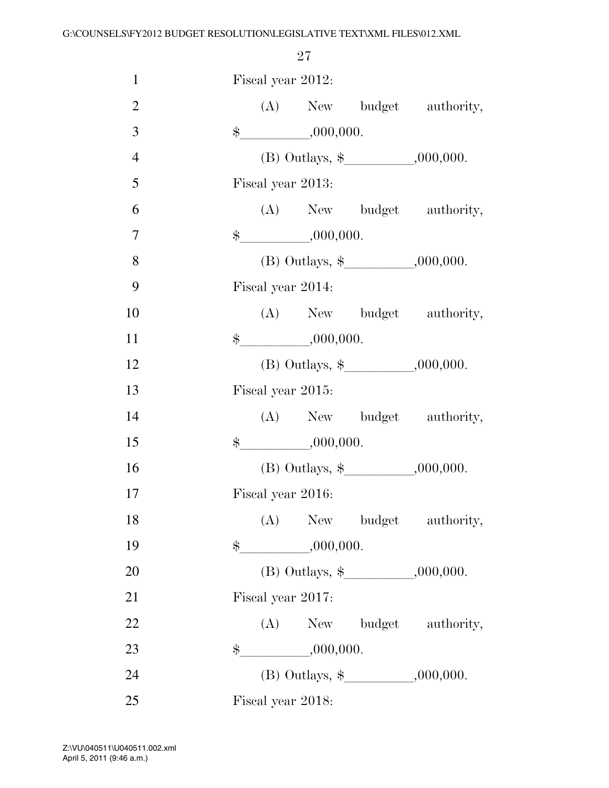| $\mathbf{1}$   |  | Fiscal year 2012:       |                                      |
|----------------|--|-------------------------|--------------------------------------|
| $\mathfrak{2}$ |  |                         | (A) New budget authority,            |
| 3              |  | $\frac{1}{2}$ ,000,000. |                                      |
| $\overline{4}$ |  |                         | (B) Outlays, $\frac{1}{2}$ .000,000. |
| 5              |  | Fiscal year 2013:       |                                      |
| 6              |  |                         | (A) New budget authority,            |
| $\overline{7}$ |  | $\frac{1}{2}$ ,000,000. |                                      |
| 8              |  |                         |                                      |
| 9              |  | Fiscal year 2014:       |                                      |
| 10             |  |                         | (A) New budget authority,            |
| 11             |  | $\frac{1}{2}$ ,000,000. |                                      |
| 12             |  |                         |                                      |
| 13             |  | Fiscal year 2015:       |                                      |
| 14             |  |                         | (A) New budget authority,            |
| 15             |  | $\frac{1}{2}$ ,000,000. |                                      |
| 16             |  |                         |                                      |
| 17             |  | Fiscal year 2016:       |                                      |
| 18             |  |                         | (A) New budget authority,            |
| 19             |  |                         |                                      |
| 20             |  |                         | (B) Outlays, $\frac{1}{2}$ .000,000. |
| 21             |  | Fiscal year 2017:       |                                      |
| 22             |  |                         | (A) New budget authority,            |
| 23             |  | $\frac{1}{2}$ ,000,000. |                                      |
| 24             |  |                         |                                      |
| 25             |  | Fiscal year 2018:       |                                      |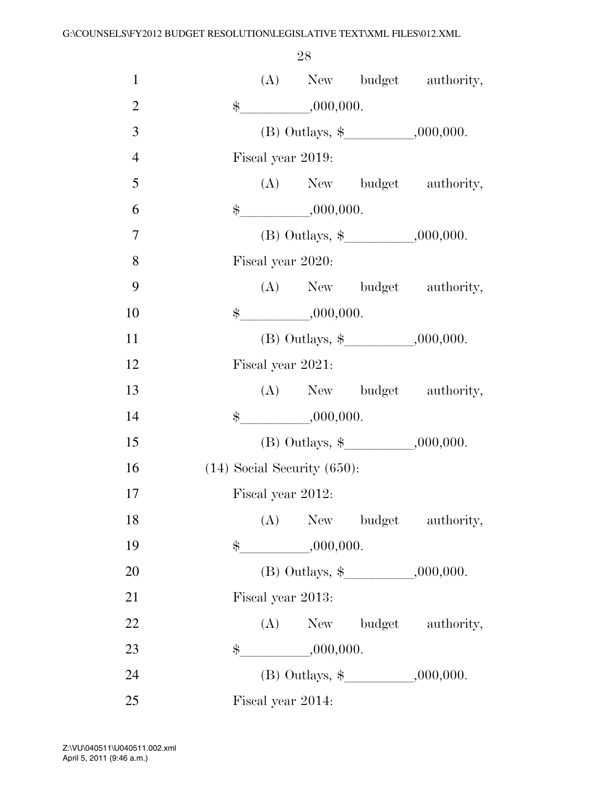| $\mathbf{1}$   |                                      | (A) New budget authority, |
|----------------|--------------------------------------|---------------------------|
| $\overline{2}$ | $$ -$<br>,000,000.                   |                           |
| 3              | (B) Outlays, $\frac{1}{2}$ .000,000. |                           |
| $\overline{4}$ | Fiscal year 2019:                    |                           |
| 5              |                                      | (A) New budget authority, |
| 6              | $\frac{1}{2}$ ,000,000.              |                           |
| $\overline{7}$ |                                      |                           |
| 8              | Fiscal year 2020:                    |                           |
| 9              |                                      | (A) New budget authority, |
| 10             | \$,000,000.                          |                           |
| 11             | (B) Outlays, $\frac{1}{2}$ .000,000. |                           |
| 12             | Fiscal year 2021:                    |                           |
| 13             |                                      | (A) New budget authority, |
| 14             | $\frac{1}{2}$ ,000,000.              |                           |
| 15             |                                      |                           |
| 16             | $(14)$ Social Security $(650)$ :     |                           |
| 17             | Fiscal year 2012:                    |                           |
| 18             | (A)                                  | New budget authority,     |
| 19             | $\frac{1}{2}$ ,000,000.              |                           |
| 20             |                                      |                           |
| 21             | Fiscal year 2013:                    |                           |
| $22\,$         |                                      | (A) New budget authority, |
| 23             | $\frac{1}{2}$ ,000,000.              |                           |
| 24             | (B) Outlays, $\frac{1}{2}$ .000,000. |                           |
| 25             | Fiscal year 2014:                    |                           |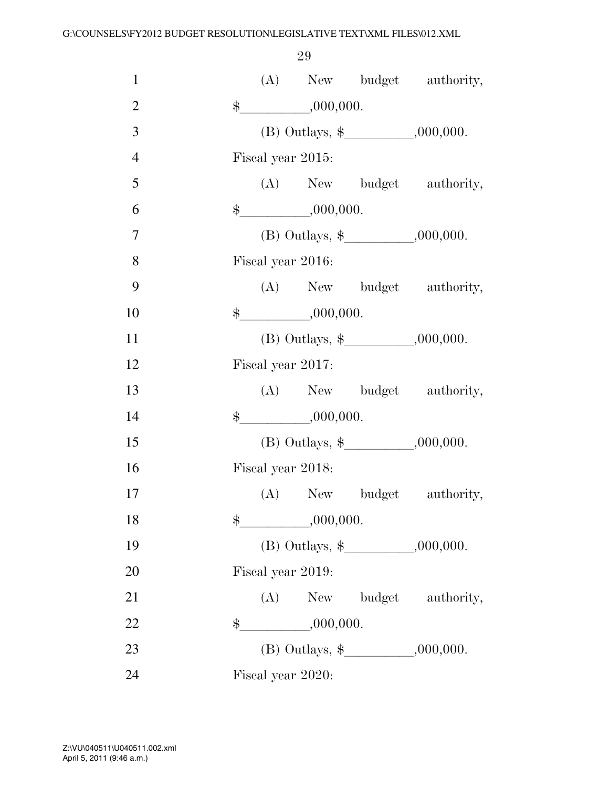| $\mathbf{1}$   |               |                   |                                       | (A) New budget authority,                |
|----------------|---------------|-------------------|---------------------------------------|------------------------------------------|
| $\overline{2}$ |               |                   | $\frac{1}{2}$ ,000,000.               |                                          |
| 3              |               |                   |                                       |                                          |
| $\overline{4}$ |               | Fiscal year 2015: |                                       |                                          |
| 5              |               |                   |                                       | (A) New budget authority,                |
| 6              |               |                   | $\frac{\text{L}}{\text{L}}$ ,000,000. |                                          |
| $\overline{7}$ |               |                   |                                       |                                          |
| 8              |               | Fiscal year 2016: |                                       |                                          |
| 9              |               |                   |                                       | (A) New budget authority,                |
| 10             |               |                   | $\frac{1}{2}$ ,000,000.               |                                          |
| 11             |               |                   |                                       |                                          |
| 12             |               | Fiscal year 2017: |                                       |                                          |
| 13             |               |                   |                                       | (A) New budget authority,                |
| 14             |               |                   | $\frac{1}{2}$ ,000,000.               |                                          |
| 15             |               |                   |                                       | (B) Outlays, $\frac{1}{2}$ , , .000,000. |
| 16             |               | Fiscal year 2018: |                                       |                                          |
| 17             |               |                   |                                       | (A) New budget authority,                |
| 18             | $\frac{1}{2}$ |                   | ,000,000.                             |                                          |
| 19             |               |                   |                                       |                                          |
| 20             |               | Fiscal year 2019: |                                       |                                          |
| 21             |               |                   |                                       | (A) New budget authority,                |
| 22             | \$            |                   | ,000,000.                             |                                          |
| 23             |               |                   |                                       |                                          |
| 24             |               | Fiscal year 2020: |                                       |                                          |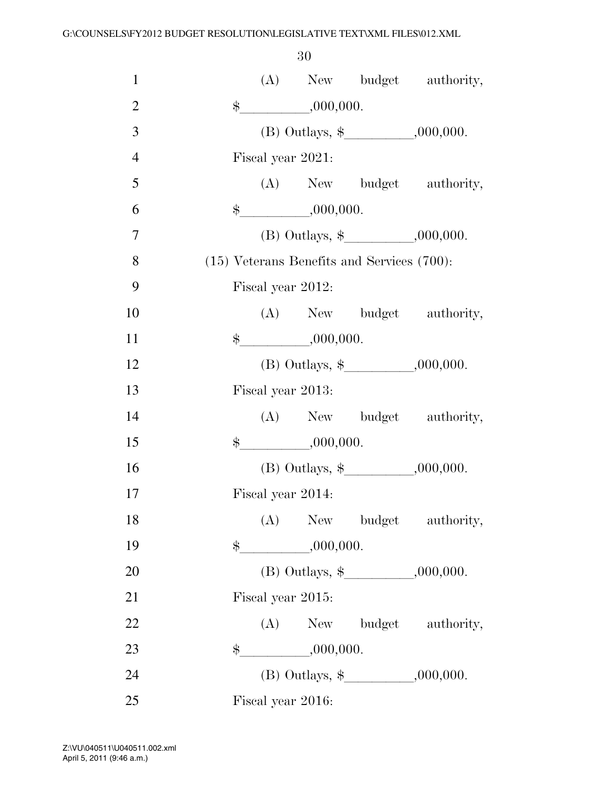| $\mathbf{1}$   | (A) New budget authority,                       |  |
|----------------|-------------------------------------------------|--|
| $\overline{2}$ | $\frac{1}{2}$ ,000,000.                         |  |
| 3              |                                                 |  |
| $\overline{4}$ | Fiscal year 2021:                               |  |
| 5              | (A) New budget authority,                       |  |
| 6              | $\frac{1}{2}$ ,000,000.                         |  |
| 7              |                                                 |  |
| 8              | $(15)$ Veterans Benefits and Services $(700)$ : |  |
| 9              | Fiscal year 2012:                               |  |
| 10             | (A) New budget authority,                       |  |
| 11             | $\frac{\text{L}}{\text{L}}$ ,000,000.           |  |
| 12             |                                                 |  |
| 13             | Fiscal year 2013:                               |  |
| 14             | (A) New budget authority,                       |  |
| 15             | $\frac{1}{2}$ ,000,000.                         |  |
| 16             |                                                 |  |
| 17             | Fiscal year 2014:                               |  |
| 18             | (A)<br>New budget authority,                    |  |
| 19             | $\frac{1}{2}$ ,000,000.                         |  |
| 20             | (B) Outlays, $\frac{1}{2}$ , 000,000.           |  |
| 21             | Fiscal year 2015:                               |  |
| 22             | (A) New budget authority,                       |  |
| 23             | $\frac{1}{2}$ ,000,000.                         |  |
| 24             |                                                 |  |
| 25             | Fiscal year 2016:                               |  |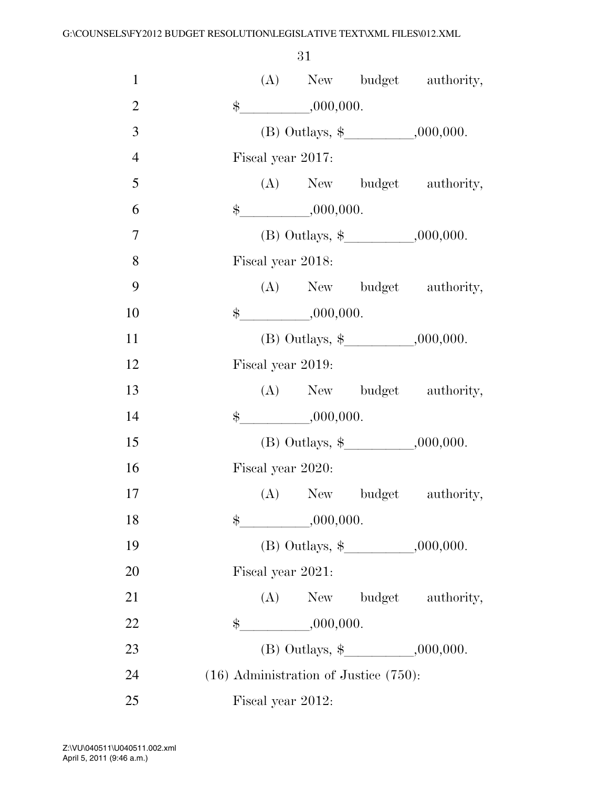| $\mathbf{1}$   |       |                         |                                            | (A) New budget authority,                |
|----------------|-------|-------------------------|--------------------------------------------|------------------------------------------|
| $\overline{2}$ | $\$\$ | ,000,000.               |                                            |                                          |
| 3              |       |                         |                                            |                                          |
| $\overline{4}$ |       | Fiscal year 2017:       |                                            |                                          |
| 5              |       |                         |                                            | (A) New budget authority,                |
| 6              |       | $\frac{1}{2}$ ,000,000. |                                            |                                          |
| $\overline{7}$ |       |                         |                                            |                                          |
| 8              |       | Fiscal year 2018:       |                                            |                                          |
| 9              |       |                         |                                            | (A) New budget authority,                |
| 10             |       | $\frac{1}{2}$ ,000,000. |                                            |                                          |
| 11             |       |                         |                                            |                                          |
| 12             |       | Fiscal year 2019:       |                                            |                                          |
| 13             |       |                         |                                            | (A) New budget authority,                |
| 14             |       | $\frac{1}{2}$ ,000,000. |                                            |                                          |
| 15             |       |                         |                                            | (B) Outlays, $\frac{1}{2}$ , , .000,000. |
| 16             |       | Fiscal year 2020:       |                                            |                                          |
| 17             |       |                         |                                            | (A) New budget authority,                |
| 18             | \$    | ,000,000.               |                                            |                                          |
| 19             |       |                         |                                            |                                          |
| 20             |       | Fiscal year 2021:       |                                            |                                          |
| 21             |       |                         |                                            | (A) New budget authority,                |
| 22             | $\$\$ | $\frac{1}{1000,000}$    |                                            |                                          |
| 23             |       |                         |                                            |                                          |
| 24             |       |                         | $(16)$ Administration of Justice $(750)$ : |                                          |
| 25             |       | Fiscal year 2012:       |                                            |                                          |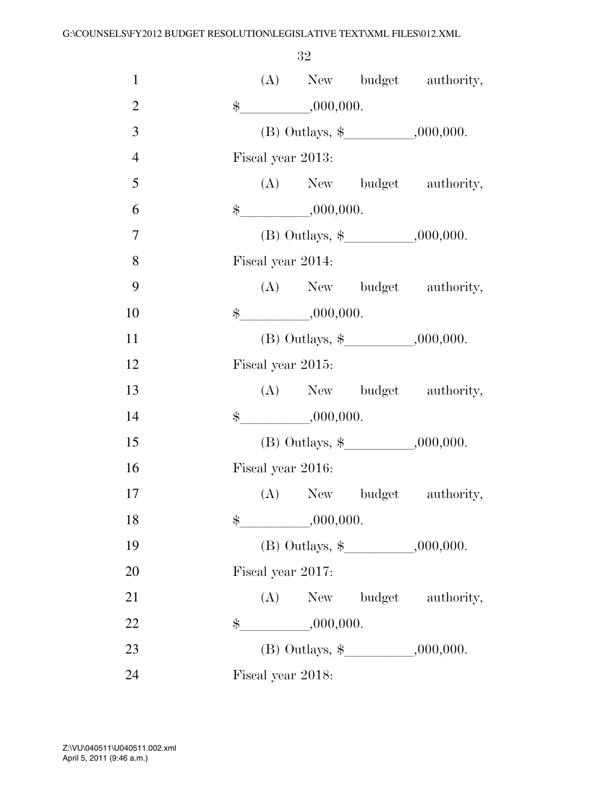| $\mathbf{1}$   |       |                         | (A) New budget authority,             |
|----------------|-------|-------------------------|---------------------------------------|
| $\overline{2}$ |       | $\frac{1}{2}$ ,000,000. |                                       |
| 3              |       |                         | (B) Outlays, $\frac{1}{2}$ .000,000.  |
| $\overline{4}$ |       | Fiscal year 2013:       |                                       |
| 5              |       |                         | (A) New budget authority,             |
| 6              |       | $\frac{1}{2}$ ,000,000. |                                       |
| $\tau$         |       |                         | (B) Outlays, $\frac{1}{2}$ , 000,000. |
| 8              |       | Fiscal year 2014:       |                                       |
| 9              |       |                         | (A) New budget authority,             |
| 10             |       | $\frac{1}{2}$ ,000,000. |                                       |
| 11             |       |                         |                                       |
| 12             |       | Fiscal year 2015:       |                                       |
| 13             |       |                         | (A) New budget authority,             |
| 14             |       | $\frac{1}{2}$ ,000,000. |                                       |
| 15             |       |                         | (B) Outlays, $\frac{1}{2}$ , 000,000. |
| 16             |       | Fiscal year 2016:       |                                       |
| 17             |       |                         | (A) New budget authority,             |
| 18             | $\$\$ | ,000,000.               |                                       |
| 19             |       |                         | (B) Outlays, $\frac{1}{2}$ .000,000.  |
| 20             |       | Fiscal year 2017:       |                                       |
| 21             |       |                         | (A) New budget authority,             |
| 22             | \$    | $\frac{1}{1000,000}.$   |                                       |
| 23             |       |                         |                                       |
| 24             |       | Fiscal year 2018:       |                                       |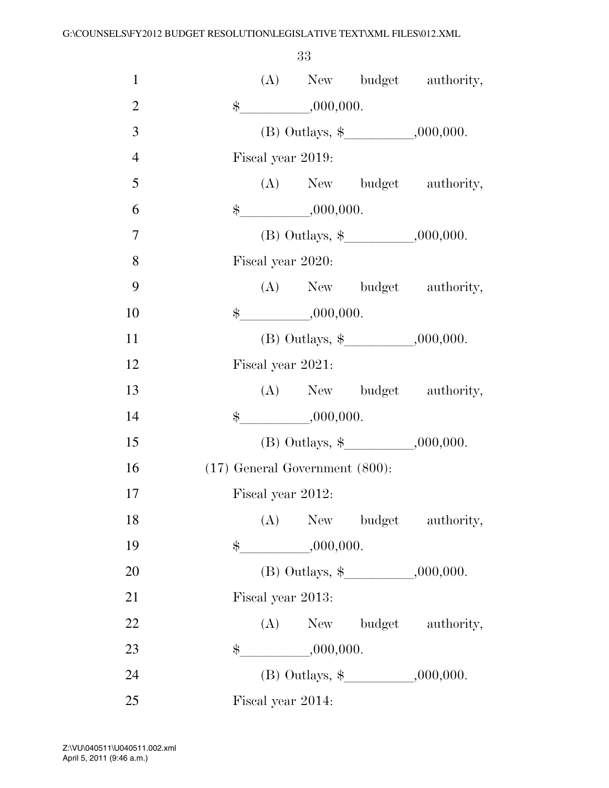| $\mathbf{1}$   | (A) New budget authority,             |  |
|----------------|---------------------------------------|--|
| $\overline{2}$ | $\frac{1}{2}$<br>,000,000.            |  |
| 3              |                                       |  |
| $\overline{4}$ | Fiscal year 2019:                     |  |
| 5              | (A) New budget authority,             |  |
| 6              | $\frac{\text{L}}{\text{L}}$ ,000,000. |  |
| 7              |                                       |  |
| 8              | Fiscal year 2020:                     |  |
| 9              | (A) New budget authority,             |  |
| 10             | $\frac{1}{2}$ ,000,000.               |  |
| 11             | (B) Outlays, $\frac{1}{2}$ , 000,000. |  |
| 12             | Fiscal year 2021:                     |  |
| 13             | (A) New budget authority,             |  |
| 14             | ,000,000.<br>$\frac{1}{2}$            |  |
| 15             | (B) Outlays, $\frac{1}{2}$ .000,000.  |  |
| 16             | $(17)$ General Government $(800)$ :   |  |
| 17             | Fiscal year 2012:                     |  |
| 18             | (A) New budget authority,             |  |
| 19             | $\frac{1}{2}$ ,000,000.               |  |
| 20             |                                       |  |
| 21             | Fiscal year 2013:                     |  |
| 22             | (A) New budget authority,             |  |
| 23             | $\frac{1}{1000,000}$<br>$\$\$         |  |
| 24             |                                       |  |
| 25             | Fiscal year 2014:                     |  |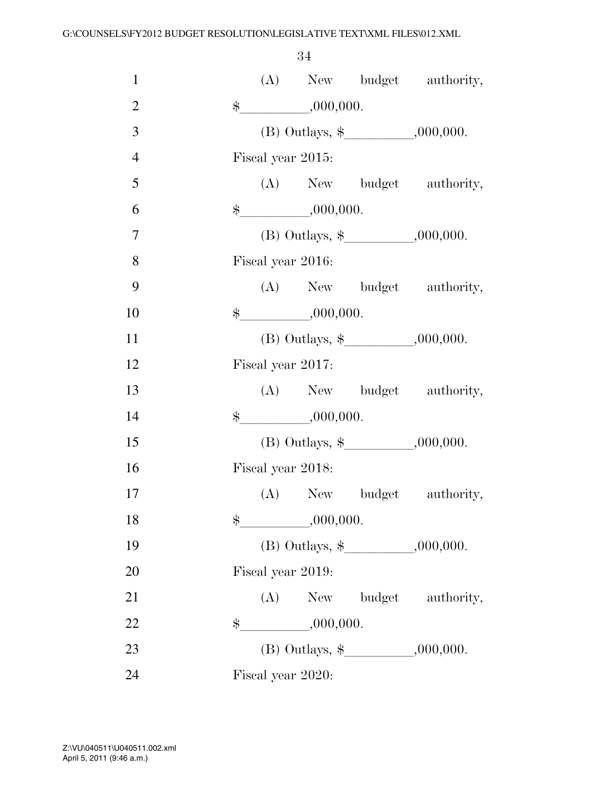| $\mathbf{1}$   |    |                         | (A) New budget authority,                |
|----------------|----|-------------------------|------------------------------------------|
| $\overline{2}$ |    | $\frac{1}{2}$ ,000,000. |                                          |
| 3              |    |                         |                                          |
| $\overline{4}$ |    | Fiscal year 2015:       |                                          |
| 5              |    |                         | (A) New budget authority,                |
| 6              |    | $\frac{1}{2}$ ,000,000. |                                          |
| $\overline{7}$ |    |                         |                                          |
| 8              |    | Fiscal year 2016:       |                                          |
| 9              |    |                         | (A) New budget authority,                |
| 10             |    | $\frac{1}{2}$ ,000,000. |                                          |
| 11             |    |                         |                                          |
| 12             |    | Fiscal year 2017:       |                                          |
| 13             |    |                         | (A) New budget authority,                |
| 14             |    | $\frac{1}{2}$ ,000,000. |                                          |
| 15             |    |                         | (B) Outlays, $\frac{1}{2}$ , , .000,000. |
| 16             |    | Fiscal year 2018:       |                                          |
| 17             |    |                         | (A) New budget authority,                |
| 18             | \$ | ,000,000.               |                                          |
| 19             |    |                         |                                          |
| 20             |    | Fiscal year 2019:       |                                          |
| 21             |    |                         | (A) New budget authority,                |
| 22             | \$ | ,000,000.               |                                          |
| 23             |    |                         |                                          |
| 24             |    | Fiscal year 2020:       |                                          |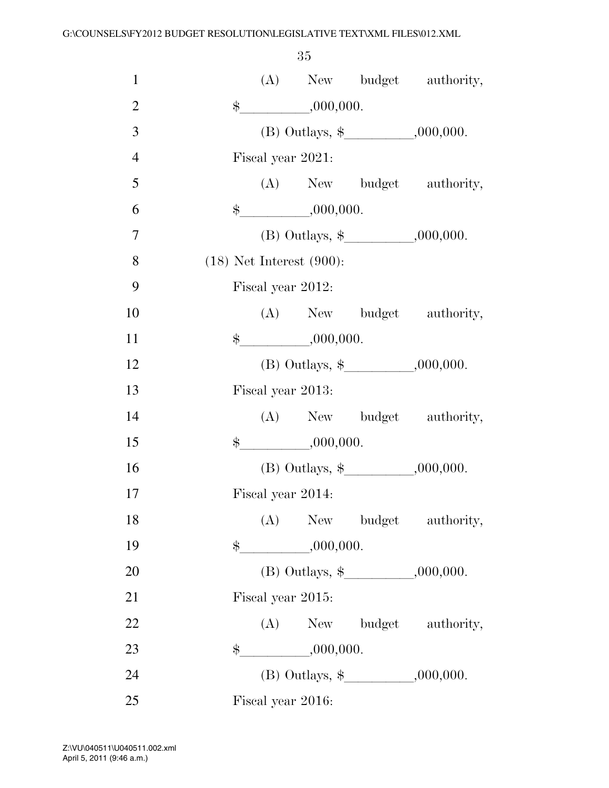| $\mathbf{1}$   |       |     |                               | (A) New budget authority,                |
|----------------|-------|-----|-------------------------------|------------------------------------------|
| $\overline{2}$ | $\$\$ |     | $\frac{1}{1000,000}$          |                                          |
| 3              |       |     |                               | (B) Outlays, $\frac{1}{2}$ .000,000.     |
| $\overline{4}$ |       |     | Fiscal year 2021:             |                                          |
| 5              |       |     |                               | (A) New budget authority,                |
| 6              |       |     | $\frac{1}{2}$ ,000,000.       |                                          |
| 7              |       |     |                               | (B) Outlays, $\frac{1}{2}$ , , .000,000. |
| 8              |       |     | $(18)$ Net Interest $(900)$ : |                                          |
| 9              |       |     | Fiscal year 2012:             |                                          |
| 10             |       |     |                               | (A) New budget authority,                |
| 11             |       |     | \$,000,000.                   |                                          |
| 12             |       |     |                               |                                          |
| 13             |       |     | Fiscal year 2013:             |                                          |
| 14             |       |     |                               | (A) New budget authority,                |
| 15             |       |     | $\frac{1}{2}$ ,000,000.       |                                          |
| 16             |       |     |                               | (B) Outlays, $\frac{1}{2}$ .000,000.     |
| 17             |       |     | Fiscal year 2014:             |                                          |
| 18             |       | (A) |                               | New budget authority,                    |
| 19             |       |     | $\frac{1}{2}$ ,000,000.       |                                          |
| 20             |       |     |                               |                                          |
| 21             |       |     | Fiscal year 2015:             |                                          |
| 22             |       |     |                               | (A) New budget authority,                |
| 23             | $\$\$ |     | ,000,000.                     |                                          |
| 24             |       |     |                               |                                          |
| 25             |       |     | Fiscal year 2016:             |                                          |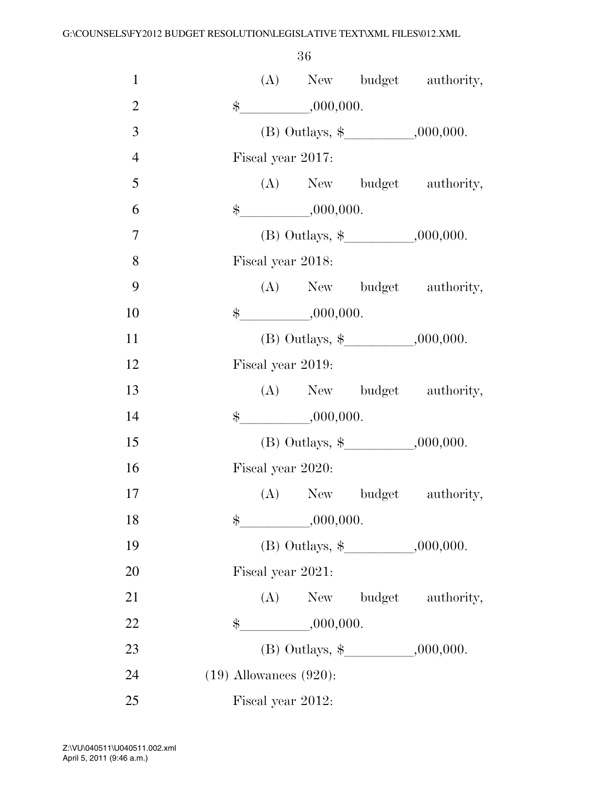| $\mathbf{1}$   |               |                   |                                       | (A) New budget authority,            |
|----------------|---------------|-------------------|---------------------------------------|--------------------------------------|
| $\mathfrak{2}$ |               |                   | $\frac{1}{2}$ ,000,000.               |                                      |
| 3              |               |                   |                                       | (B) Outlays, $\frac{1}{2}$ .000,000. |
| $\overline{4}$ |               | Fiscal year 2017: |                                       |                                      |
| 5              |               |                   |                                       | (A) New budget authority,            |
| 6              |               |                   | $\frac{\text{L}}{\text{L}}$ ,000,000. |                                      |
| $\overline{7}$ |               |                   |                                       |                                      |
| 8              |               | Fiscal year 2018: |                                       |                                      |
| 9              |               |                   |                                       | (A) New budget authority,            |
| 10             |               |                   | \$,000,000.                           |                                      |
| 11             |               |                   |                                       |                                      |
| 12             |               | Fiscal year 2019: |                                       |                                      |
| 13             |               |                   |                                       | (A) New budget authority,            |
| 14             |               |                   | $\frac{1}{2}$ ,000,000.               |                                      |
| 15             |               |                   |                                       |                                      |
| 16             |               | Fiscal year 2020: |                                       |                                      |
| 17             |               |                   |                                       | (A) New budget authority,            |
| 18             | $\$\$         |                   | ,000,000.                             |                                      |
| 19             |               |                   |                                       | (B) Outlays, $\frac{1}{2}$ .000,000. |
| 20             |               | Fiscal year 2021: |                                       |                                      |
| 21             |               |                   |                                       | (A) New budget authority,            |
| 22             | $\frac{1}{2}$ |                   | ,000,000.                             |                                      |
| 23             |               |                   |                                       | (B) Outlays, $\frac{1}{2}$ .000,000. |
| 24             |               |                   | $(19)$ Allowances $(920)$ :           |                                      |
| 25             |               | Fiscal year 2012: |                                       |                                      |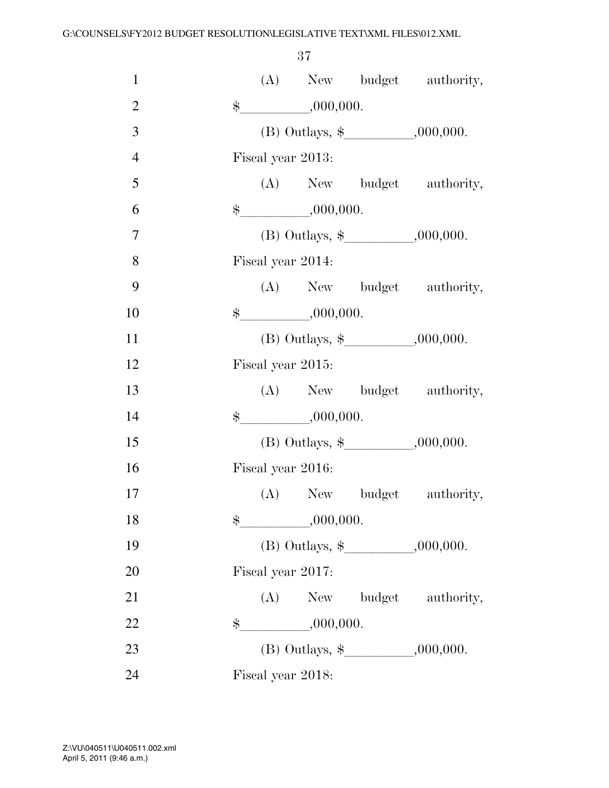| $\mathbf{1}$   |               |                         |           | (A) New budget authority,             |
|----------------|---------------|-------------------------|-----------|---------------------------------------|
| $\overline{2}$ |               | $\frac{1}{2}$ ,000,000. |           |                                       |
| 3              |               |                         |           | (B) Outlays, $\frac{1}{2}$ , 000,000. |
| $\overline{4}$ |               | Fiscal year 2013:       |           |                                       |
| 5              |               |                         |           | (A) New budget authority,             |
| 6              |               | $\frac{1}{2}$ ,000,000. |           |                                       |
| $\overline{7}$ |               |                         |           | (B) Outlays, $\frac{1}{2}$ , 000,000. |
| 8              |               | Fiscal year 2014:       |           |                                       |
| 9              |               |                         |           | (A) New budget authority,             |
| 10             |               | $\frac{1}{2}$ ,000,000. |           |                                       |
| 11             |               |                         |           |                                       |
| 12             |               | Fiscal year 2015:       |           |                                       |
| 13             |               |                         |           | (A) New budget authority,             |
| 14             |               | $\frac{1}{2}$ ,000,000. |           |                                       |
| 15             |               |                         |           |                                       |
| 16             |               | Fiscal year 2016:       |           |                                       |
| 17             |               |                         |           | (A) New budget authority,             |
| 18             | $\frac{1}{2}$ |                         | ,000,000. |                                       |
| 19             |               |                         |           |                                       |
| 20             |               | Fiscal year 2017:       |           |                                       |
| 21             |               |                         |           | (A) New budget authority,             |
| 22             |               | $\frac{1}{2}$ ,000,000. |           |                                       |
| 23             |               |                         |           |                                       |
| 24             |               | Fiscal year 2018:       |           |                                       |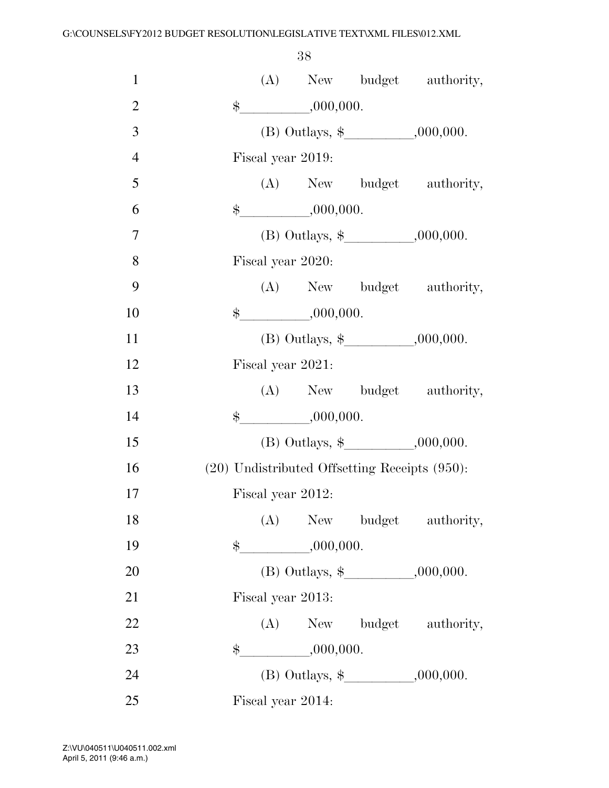| $\mathbf{1}$   | (A) New budget authority,                     |
|----------------|-----------------------------------------------|
| $\overline{2}$ | $\frac{1}{1}$ ,000,000.<br>$\ddot{\$}$        |
| 3              | (B) Outlays, $\frac{1}{2}$ , 000,000.         |
| $\overline{4}$ | Fiscal year 2019:                             |
| 5              | (A) New budget authority,                     |
| 6              | $\frac{1}{2}$ ,000,000.                       |
| 7              |                                               |
| 8              | Fiscal year 2020:                             |
| 9              | (A) New budget authority,                     |
| 10             | $\frac{1}{2}$ ,000,000.                       |
| 11             | (B) Outlays, $\frac{1}{2}$ , 000,000.         |
| 12             | Fiscal year 2021:                             |
| 13             | (A) New budget authority,                     |
| 14             | ,000,000.<br>$\frac{1}{2}$                    |
| 15             | (B) Outlays, $\frac{1}{2}$ , 000,000.         |
| 16             | (20) Undistributed Offsetting Receipts (950): |
| 17             | Fiscal year 2012:                             |
| 18             | (A) New budget authority,                     |
| 19             | $\frac{1}{2}$ ,000,000.                       |
| 20             |                                               |
| 21             | Fiscal year 2013:                             |
| 22             | (A) New budget authority,                     |
| 23             | $\frac{1}{1000,000}$<br>$\$\$                 |
| 24             | (B) Outlays, $\frac{1}{2}$ .000,000.          |
| 25             | Fiscal year 2014:                             |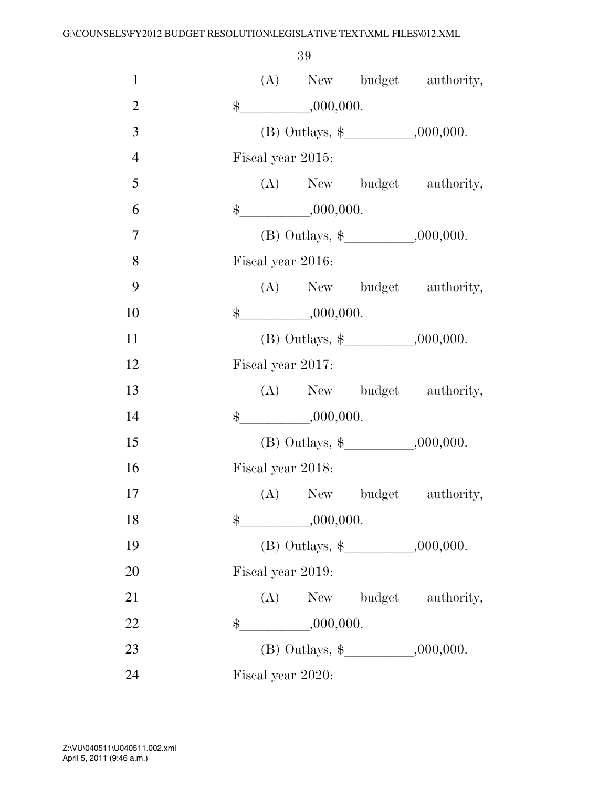| $\mathbf{1}$   |               |                   |                                       | (A) New budget authority,             |
|----------------|---------------|-------------------|---------------------------------------|---------------------------------------|
| $\overline{2}$ |               |                   | $\frac{1}{2}$ ,000,000.               |                                       |
| 3              |               |                   |                                       | (B) Outlays, $\frac{1}{2}$ .000,000.  |
| $\overline{4}$ |               | Fiscal year 2015: |                                       |                                       |
| 5              |               |                   |                                       | (A) New budget authority,             |
| 6              |               |                   | $\frac{\text{L}}{\text{L}}$ ,000,000. |                                       |
| $\overline{7}$ |               |                   |                                       |                                       |
| 8              |               | Fiscal year 2016: |                                       |                                       |
| 9              |               |                   |                                       | (A) New budget authority,             |
| 10             |               |                   | \$,000,000.                           |                                       |
| 11             |               |                   |                                       | (B) Outlays, $\frac{1}{2}$ , 000,000. |
| 12             |               | Fiscal year 2017: |                                       |                                       |
| 13             |               |                   |                                       | (A) New budget authority,             |
| 14             |               |                   | $\frac{1}{2}$ ,000,000.               |                                       |
| 15             |               |                   |                                       |                                       |
| 16             |               | Fiscal year 2018: |                                       |                                       |
| 17             |               |                   |                                       | (A) New budget authority,             |
| 18             | $\frac{1}{2}$ |                   | ,000,000.                             |                                       |
| 19             |               |                   |                                       |                                       |
| 20             |               | Fiscal year 2019: |                                       |                                       |
| 21             |               |                   |                                       | (A) New budget authority,             |
| 22             |               |                   | $\frac{1}{2}$ ,000,000.               |                                       |
| 23             |               |                   |                                       |                                       |
| 24             |               | Fiscal year 2020: |                                       |                                       |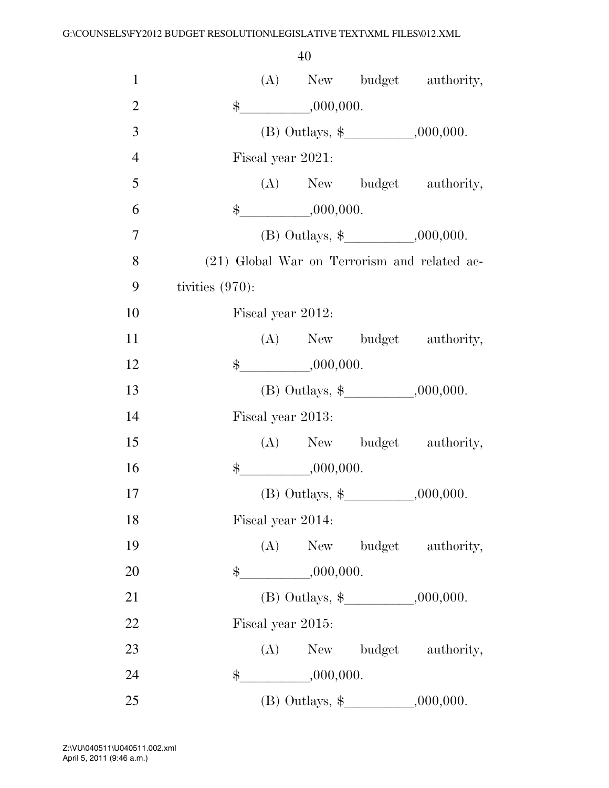| $\mathbf{1}$   |                    |                                       |                                       | (A) New budget authority,                    |
|----------------|--------------------|---------------------------------------|---------------------------------------|----------------------------------------------|
| $\overline{2}$ |                    | $\frac{1}{2}$ ,000,000.               |                                       |                                              |
| 3              |                    |                                       |                                       |                                              |
| $\overline{4}$ |                    | Fiscal year 2021:                     |                                       |                                              |
| 5              |                    |                                       |                                       | (A) New budget authority,                    |
| 6              |                    | $\frac{1}{2}$ ,000,000.               |                                       |                                              |
| 7              |                    |                                       |                                       |                                              |
| 8              |                    |                                       |                                       | (21) Global War on Terrorism and related ac- |
| 9              | tivities $(970)$ : |                                       |                                       |                                              |
| 10             |                    | Fiscal year 2012:                     |                                       |                                              |
| 11             |                    |                                       |                                       | (A) New budget authority,                    |
| 12             |                    | $\frac{\text{L}}{\text{L}}$ ,000,000. |                                       |                                              |
| 13             |                    |                                       |                                       |                                              |
| 14             |                    | Fiscal year 2013:                     |                                       |                                              |
| 15             |                    |                                       |                                       | (A) New budget authority,                    |
| 16             |                    | $\frac{1}{2}$ ,000,000.               |                                       |                                              |
| 17             |                    |                                       |                                       |                                              |
| 18             |                    | Fiscal year 2014:                     |                                       |                                              |
| 19             |                    |                                       |                                       | (A) New budget authority,                    |
| 20             |                    | $\frac{1}{2}$ ,000,000.               |                                       |                                              |
| 21             |                    |                                       |                                       |                                              |
| 22             |                    | Fiscal year 2015:                     |                                       |                                              |
| 23             |                    |                                       |                                       | (A) New budget authority,                    |
| 24             | \$                 | ,000,000.                             |                                       |                                              |
| 25             |                    |                                       | (B) Outlays, $\frac{1}{2}$ , 000,000. |                                              |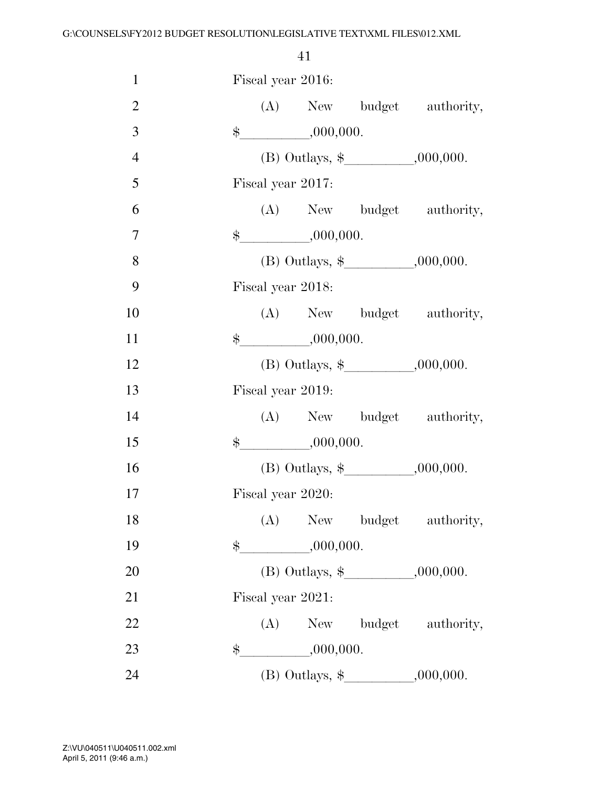| $\mathbf{1}$   | Fiscal year 2016: |                                       |                                      |
|----------------|-------------------|---------------------------------------|--------------------------------------|
| $\overline{2}$ |                   |                                       | (A) New budget authority,            |
| 3              |                   | $\frac{1}{2}$ ,000,000.               |                                      |
| $\overline{4}$ |                   |                                       | (B) Outlays, $\frac{1}{2}$ .000,000. |
| 5              | Fiscal year 2017: |                                       |                                      |
| 6              |                   |                                       | (A) New budget authority,            |
| $\overline{7}$ |                   | $\frac{\text{L}}{\text{L}}$ ,000,000. |                                      |
| 8              |                   |                                       |                                      |
| 9              | Fiscal year 2018: |                                       |                                      |
| 10             |                   |                                       | (A) New budget authority,            |
| 11             |                   | $\frac{1}{2}$ ,000,000.               |                                      |
| 12             |                   |                                       |                                      |
| 13             | Fiscal year 2019: |                                       |                                      |
| 14             |                   |                                       | (A) New budget authority,            |
| 15             |                   | $\frac{1}{2}$ ,000,000.               |                                      |
| 16             |                   |                                       |                                      |
| 17             | Fiscal year 2020: |                                       |                                      |
| 18             |                   |                                       | (A) New budget authority,            |
| 19             |                   | $\frac{1}{2}$ ,000,000.               |                                      |
| 20             |                   |                                       | (B) Outlays, $\frac{1}{2}$ .000,000. |
| 21             | Fiscal year 2021: |                                       |                                      |
| 22             |                   |                                       | (A) New budget authority,            |
| 23             |                   |                                       |                                      |
| 24             |                   |                                       |                                      |
|                |                   |                                       |                                      |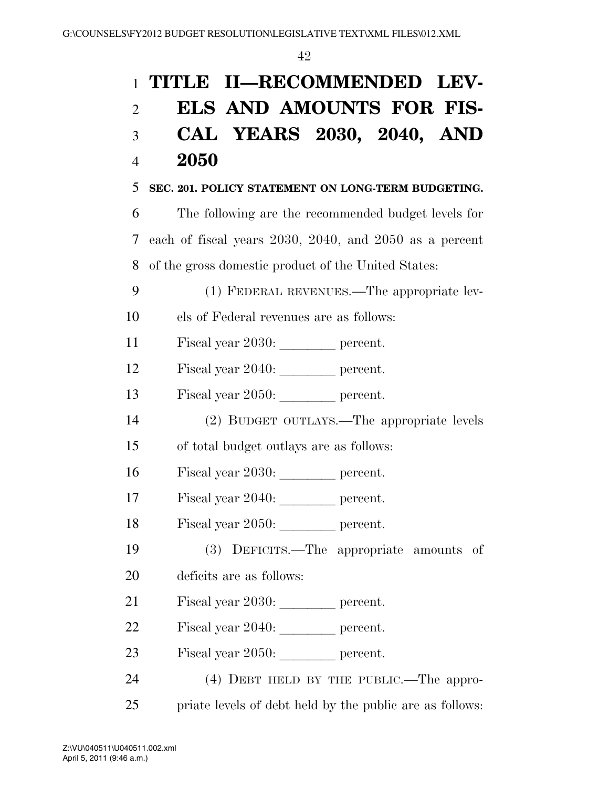| $\mathbf{1}$   | TITLE II-RECOMMENDED LEV-                                |
|----------------|----------------------------------------------------------|
| $\overline{2}$ | <b>ELS AND AMOUNTS FOR FIS-</b>                          |
| 3              | CAL YEARS 2030, 2040, AND                                |
| $\overline{4}$ | 2050                                                     |
| 5              | SEC. 201. POLICY STATEMENT ON LONG-TERM BUDGETING.       |
| 6              | The following are the recommended budget levels for      |
| 7              | each of fiscal years 2030, 2040, and 2050 as a percent   |
| 8              | of the gross domestic product of the United States:      |
| 9              | (1) FEDERAL REVENUES.—The appropriate lev-               |
| 10             | els of Federal revenues are as follows:                  |
| 11             | Fiscal year 2030: percent.                               |
| 12             | Fiscal year 2040: percent.                               |
| 13             | Fiscal year 2050: percent.                               |
| 14             | (2) BUDGET OUTLAYS.—The appropriate levels               |
| 15             | of total budget outlays are as follows:                  |
| 16             | Fiscal year 2030: percent.                               |
| 17             | Fiscal year 2040: _________ percent.                     |
| 18             | Fiscal year 2050: percent.                               |
| 19             | (3) DEFICITS.—The appropriate amounts of                 |
| 20             | deficits are as follows:                                 |
| 21             | Fiscal year 2030: percent.                               |
| 22             | Fiscal year 2040: _________ percent.                     |
| 23             | Fiscal year 2050: percent.                               |
| 24             | $(4)$ DEBT HELD BY THE PUBLIC.—The appro-                |
| 25             | priate levels of debt held by the public are as follows: |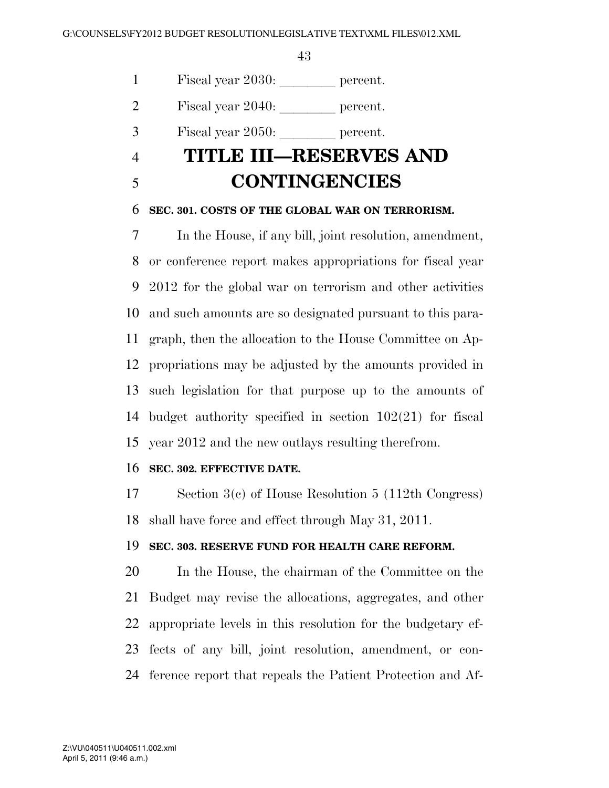1 Fiscal year 2030: percent.

2 Fiscal year  $2040:$  percent.

 $3 \qquad$  Fiscal year 2050: let percent.

## **TITLE III—RESERVES AND CONTINGENCIES**

### **SEC. 301. COSTS OF THE GLOBAL WAR ON TERRORISM.**

 In the House, if any bill, joint resolution, amendment, or conference report makes appropriations for fiscal year 2012 for the global war on terrorism and other activities and such amounts are so designated pursuant to this para- graph, then the allocation to the House Committee on Ap- propriations may be adjusted by the amounts provided in such legislation for that purpose up to the amounts of budget authority specified in section 102(21) for fiscal year 2012 and the new outlays resulting therefrom.

### **SEC. 302. EFFECTIVE DATE.**

 Section 3(c) of House Resolution 5 (112th Congress) shall have force and effect through May 31, 2011.

### **SEC. 303. RESERVE FUND FOR HEALTH CARE REFORM.**

 In the House, the chairman of the Committee on the Budget may revise the allocations, aggregates, and other appropriate levels in this resolution for the budgetary ef- fects of any bill, joint resolution, amendment, or con-ference report that repeals the Patient Protection and Af-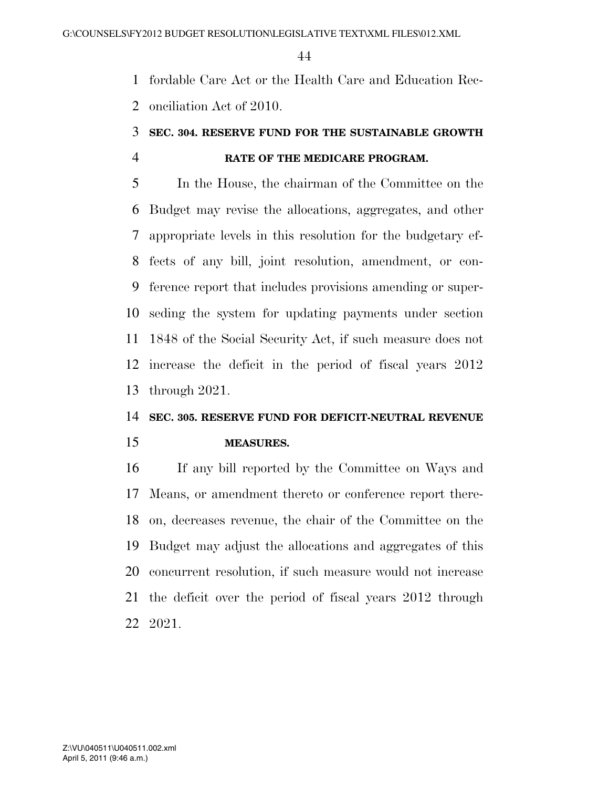fordable Care Act or the Health Care and Education Rec-onciliation Act of 2010.

### **SEC. 304. RESERVE FUND FOR THE SUSTAINABLE GROWTH RATE OF THE MEDICARE PROGRAM.**

 In the House, the chairman of the Committee on the Budget may revise the allocations, aggregates, and other appropriate levels in this resolution for the budgetary ef- fects of any bill, joint resolution, amendment, or con- ference report that includes provisions amending or super- seding the system for updating payments under section 1848 of the Social Security Act, if such measure does not increase the deficit in the period of fiscal years 2012 through 2021.

### **SEC. 305. RESERVE FUND FOR DEFICIT-NEUTRAL REVENUE**

**MEASURES.** 

 If any bill reported by the Committee on Ways and Means, or amendment thereto or conference report there- on, decreases revenue, the chair of the Committee on the Budget may adjust the allocations and aggregates of this concurrent resolution, if such measure would not increase the deficit over the period of fiscal years 2012 through 2021.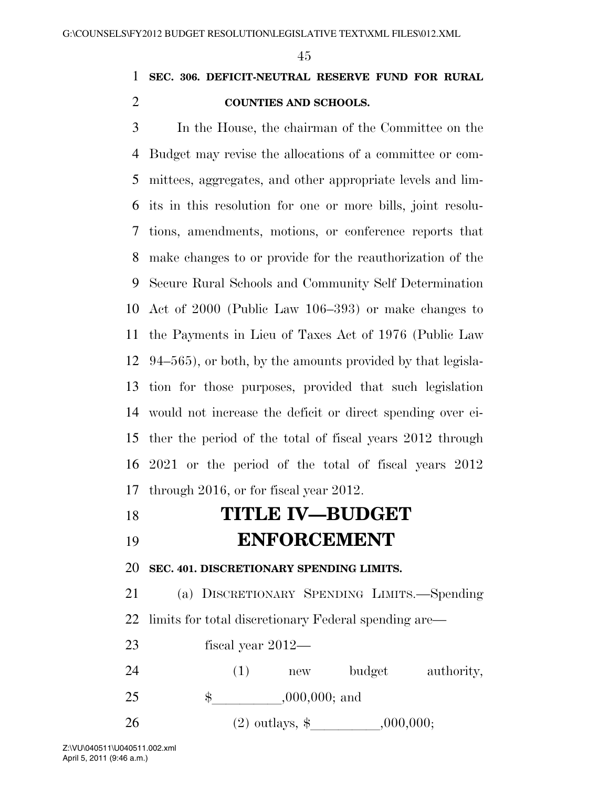### **SEC. 306. DEFICIT-NEUTRAL RESERVE FUND FOR RURAL COUNTIES AND SCHOOLS.**

 In the House, the chairman of the Committee on the Budget may revise the allocations of a committee or com- mittees, aggregates, and other appropriate levels and lim- its in this resolution for one or more bills, joint resolu- tions, amendments, motions, or conference reports that make changes to or provide for the reauthorization of the Secure Rural Schools and Community Self Determination Act of 2000 (Public Law 106–393) or make changes to the Payments in Lieu of Taxes Act of 1976 (Public Law 94–565), or both, by the amounts provided by that legisla- tion for those purposes, provided that such legislation would not increase the deficit or direct spending over ei- ther the period of the total of fiscal years 2012 through 2021 or the period of the total of fiscal years 2012 through 2016, or for fiscal year 2012.

## **TITLE IV—BUDGET**

# **ENFORCEMENT**

**SEC. 401. DISCRETIONARY SPENDING LIMITS.** 

 (a) DISCRETIONARY SPENDING LIMITS.—Spending limits for total discretionary Federal spending are—

 fiscal year 2012— 24 (1) new budget authority, 25 \$,000,000; and 26 (2) outlays,  $\frac{1}{2}$  ,000,000;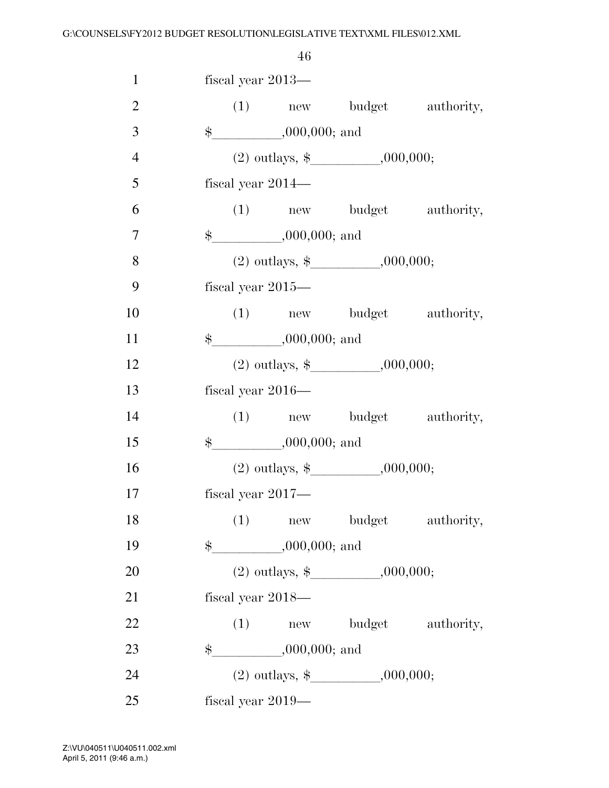| $\mathbf{1}$   | fiscal year 2013—           |                                       |                           |
|----------------|-----------------------------|---------------------------------------|---------------------------|
| $\overline{2}$ |                             |                                       | (1) new budget authority, |
| 3              | $\frac{1}{2}$ ,000,000; and |                                       |                           |
| $\overline{4}$ |                             | (2) outlays, $\frac{1}{2}$ .000,000;  |                           |
| 5              | fiscal year $2014-$         |                                       |                           |
| 6              |                             |                                       | (1) new budget authority, |
| $\overline{7}$ | $\frac{1}{2}$ ,000,000; and |                                       |                           |
| 8              |                             | (2) outlays, $\frac{1}{2}$ , 000,000; |                           |
| 9              | fiscal year $2015-$         |                                       |                           |
| 10             |                             |                                       | (1) new budget authority, |
| 11             | $\frac{1}{2}$ ,000,000; and |                                       |                           |
| 12             |                             | (2) outlays, $\frac{1}{2}$ , 000,000; |                           |
| 13             | fiscal year $2016-$         |                                       |                           |
| 14             |                             |                                       | (1) new budget authority, |
| 15             | $\frac{1}{2}$ ,000,000; and |                                       |                           |
| 16             |                             | (2) outlays, $\frac{1}{2}$ , 000,000; |                           |
| 17             | fiscal year $2017$ —        |                                       |                           |
| 18             |                             | (1) new budget authority,             |                           |
| 19             | $\frac{1}{2}$ ,000,000; and |                                       |                           |
| 20             |                             |                                       |                           |
| 21             | fiscal year $2018-$         |                                       |                           |
| 22             |                             | (1) new budget authority,             |                           |
| 23             | $\frac{1}{2}$ ,000,000; and |                                       |                           |
| 24             |                             | (2) outlays, $\frac{1}{2}$ .000,000;  |                           |
| 25             | fiscal year $2019-$         |                                       |                           |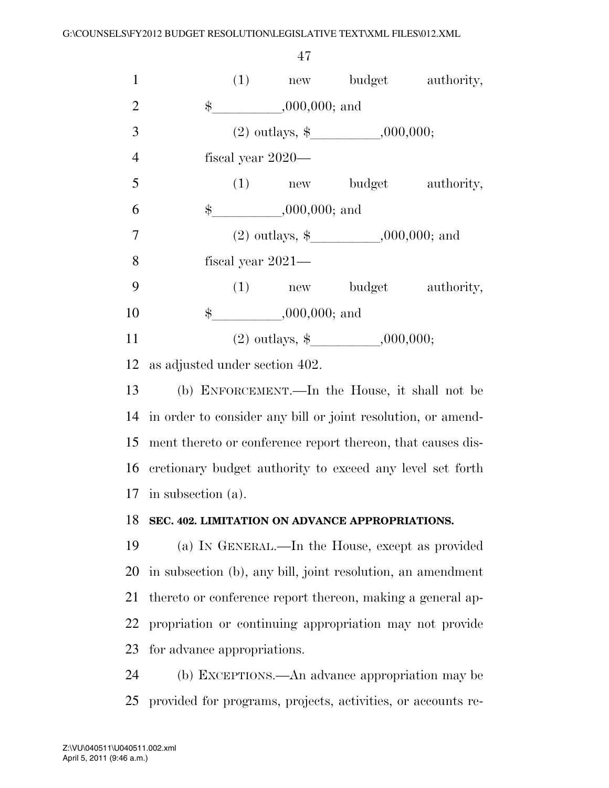1 (1) new budget authority, 2 \$ ,000,000; and 3 (2) outlays,  $\$$  000,000; fiscal year 2020— 5 (1) new budget authority, 6  $\qquad$  \$ ,000,000; and 7 (2) outlays,  $\$$  , 000,000; and fiscal year 2021— (1) new budget authority, 10 \$ .000,000; and 11 (2) outlays,  $\frac{1}{2}$ , 000,000;

as adjusted under section 402.

 (b) ENFORCEMENT.—In the House, it shall not be in order to consider any bill or joint resolution, or amend- ment thereto or conference report thereon, that causes dis- cretionary budget authority to exceed any level set forth in subsection (a).

### **SEC. 402. LIMITATION ON ADVANCE APPROPRIATIONS.**

 (a) IN GENERAL.—In the House, except as provided in subsection (b), any bill, joint resolution, an amendment thereto or conference report thereon, making a general ap- propriation or continuing appropriation may not provide for advance appropriations.

 (b) EXCEPTIONS.—An advance appropriation may be provided for programs, projects, activities, or accounts re-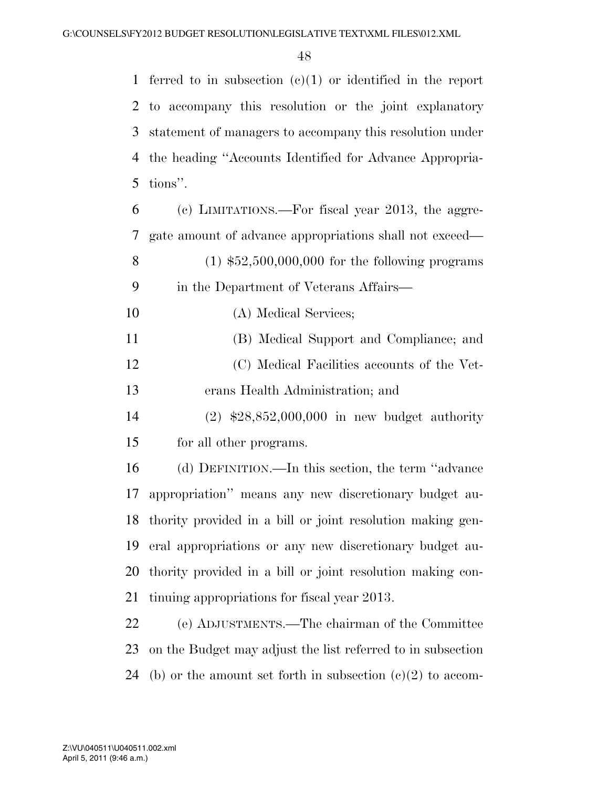ferred to in subsection (c)(1) or identified in the report to accompany this resolution or the joint explanatory statement of managers to accompany this resolution under the heading ''Accounts Identified for Advance Appropria-tions''.

 (c) LIMITATIONS.—For fiscal year 2013, the aggre- gate amount of advance appropriations shall not exceed— (1) \$52,500,000,000 for the following programs in the Department of Veterans Affairs— (A) Medical Services; (B) Medical Support and Compliance; and (C) Medical Facilities accounts of the Vet- erans Health Administration; and (2) \$28,852,000,000 in new budget authority

for all other programs.

 (d) DEFINITION.—In this section, the term ''advance appropriation'' means any new discretionary budget au- thority provided in a bill or joint resolution making gen- eral appropriations or any new discretionary budget au- thority provided in a bill or joint resolution making con-tinuing appropriations for fiscal year 2013.

 (e) ADJUSTMENTS.—The chairman of the Committee on the Budget may adjust the list referred to in subsection 24 (b) or the amount set forth in subsection  $(c)(2)$  to accom-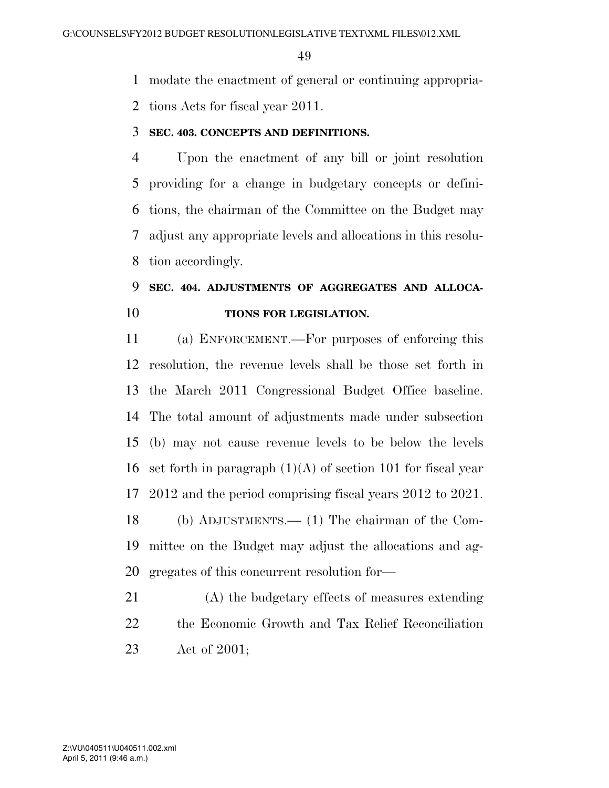modate the enactment of general or continuing appropria-

tions Acts for fiscal year 2011.

### **SEC. 403. CONCEPTS AND DEFINITIONS.**

 Upon the enactment of any bill or joint resolution providing for a change in budgetary concepts or defini- tions, the chairman of the Committee on the Budget may adjust any appropriate levels and allocations in this resolu-tion accordingly.

### **SEC. 404. ADJUSTMENTS OF AGGREGATES AND ALLOCA-TIONS FOR LEGISLATION.**

 (a) ENFORCEMENT.—For purposes of enforcing this resolution, the revenue levels shall be those set forth in the March 2011 Congressional Budget Office baseline. The total amount of adjustments made under subsection (b) may not cause revenue levels to be below the levels 16 set forth in paragraph  $(1)(A)$  of section 101 for fiscal year 2012 and the period comprising fiscal years 2012 to 2021. (b) ADJUSTMENTS.— (1) The chairman of the Com- mittee on the Budget may adjust the allocations and ag-gregates of this concurrent resolution for—

 (A) the budgetary effects of measures extending the Economic Growth and Tax Relief Reconciliation Act of 2001;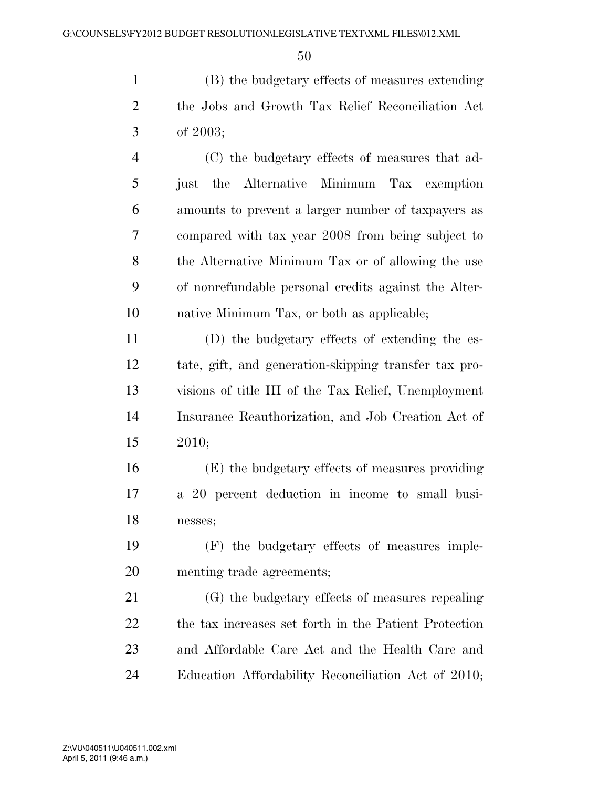(B) the budgetary effects of measures extending the Jobs and Growth Tax Relief Reconciliation Act of 2003;

 (C) the budgetary effects of measures that ad- just the Alternative Minimum Tax exemption amounts to prevent a larger number of taxpayers as compared with tax year 2008 from being subject to the Alternative Minimum Tax or of allowing the use of nonrefundable personal credits against the Alter-native Minimum Tax, or both as applicable;

 (D) the budgetary effects of extending the es- tate, gift, and generation-skipping transfer tax pro- visions of title III of the Tax Relief, Unemployment Insurance Reauthorization, and Job Creation Act of 2010;

 (E) the budgetary effects of measures providing a 20 percent deduction in income to small busi-nesses;

 (F) the budgetary effects of measures imple-menting trade agreements;

 (G) the budgetary effects of measures repealing the tax increases set forth in the Patient Protection and Affordable Care Act and the Health Care and Education Affordability Reconciliation Act of 2010;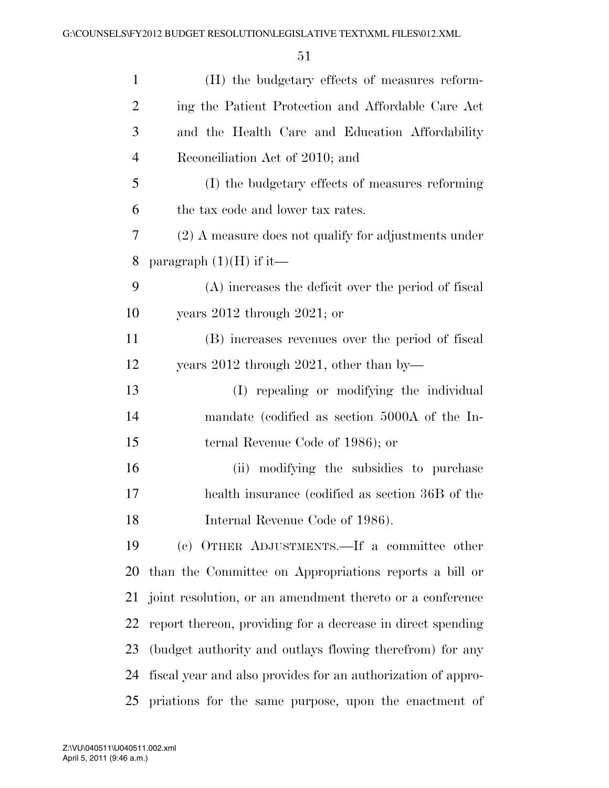| $\mathbf{1}$   | (H) the budgetary effects of measures reform-                |
|----------------|--------------------------------------------------------------|
| $\overline{2}$ | ing the Patient Protection and Affordable Care Act           |
| 3              | and the Health Care and Education Affordability              |
| $\overline{4}$ | Reconciliation Act of 2010; and                              |
| 5              | (I) the budgetary effects of measures reforming              |
| 6              | the tax code and lower tax rates.                            |
| $\overline{7}$ | (2) A measure does not qualify for adjustments under         |
| 8              | paragraph $(1)(H)$ if it—                                    |
| 9              | (A) increases the deficit over the period of fiscal          |
| 10             | years $2012$ through $2021$ ; or                             |
| 11             | (B) increases revenues over the period of fiscal             |
| 12             | years $2012$ through $2021$ , other than by                  |
| 13             | (I) repealing or modifying the individual                    |
| 14             | mandate (codified as section 5000A of the In-                |
| 15             | ternal Revenue Code of 1986); or                             |
| 16             | (ii) modifying the subsidies to purchase                     |
| 17             | health insurance (codified as section 36B of the             |
| 18             | Internal Revenue Code of 1986).                              |
| 19             | (c) OTHER ADJUSTMENTS.—If a committee other                  |
| 20             | than the Committee on Appropriations reports a bill or       |
| 21             | joint resolution, or an amendment thereto or a conference    |
| 22             | report thereon, providing for a decrease in direct spending  |
| 23             | (budget authority and outlays flowing therefrom) for any     |
| 24             | fiscal year and also provides for an authorization of appro- |
| 25             | priations for the same purpose, upon the enactment of        |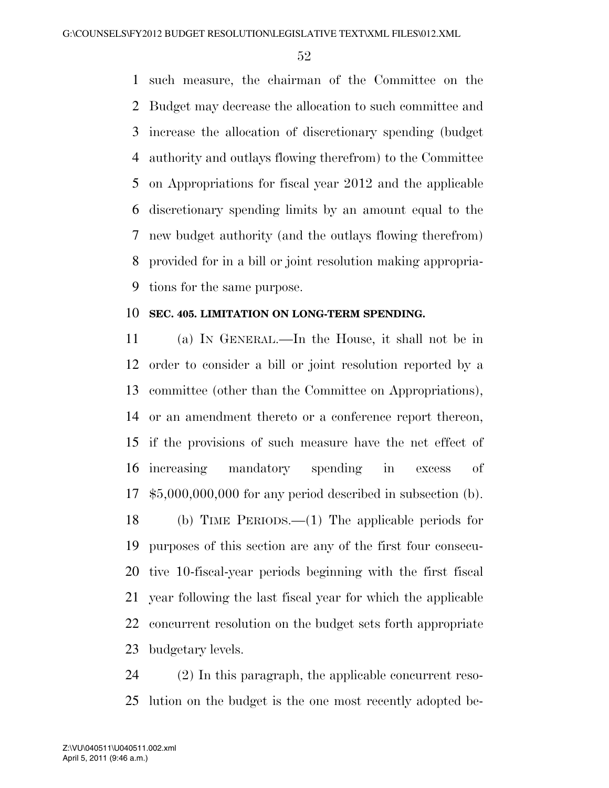such measure, the chairman of the Committee on the Budget may decrease the allocation to such committee and increase the allocation of discretionary spending (budget authority and outlays flowing therefrom) to the Committee on Appropriations for fiscal year 2012 and the applicable discretionary spending limits by an amount equal to the new budget authority (and the outlays flowing therefrom) provided for in a bill or joint resolution making appropria-tions for the same purpose.

### **SEC. 405. LIMITATION ON LONG-TERM SPENDING.**

 (a) IN GENERAL.—In the House, it shall not be in order to consider a bill or joint resolution reported by a committee (other than the Committee on Appropriations), or an amendment thereto or a conference report thereon, if the provisions of such measure have the net effect of increasing mandatory spending in excess of \$5,000,000,000 for any period described in subsection (b). (b) TIME PERIODS.—(1) The applicable periods for purposes of this section are any of the first four consecu- tive 10-fiscal-year periods beginning with the first fiscal year following the last fiscal year for which the applicable concurrent resolution on the budget sets forth appropriate budgetary levels.

 (2) In this paragraph, the applicable concurrent reso-lution on the budget is the one most recently adopted be-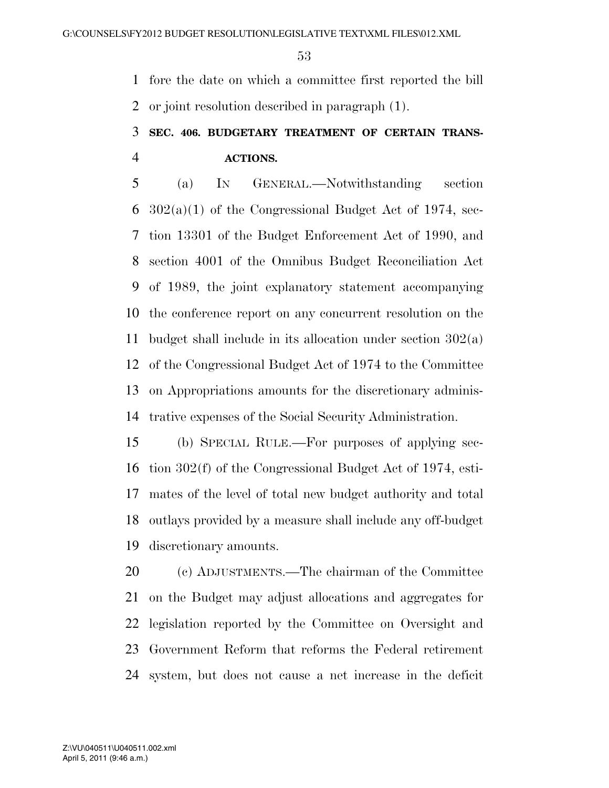fore the date on which a committee first reported the bill or joint resolution described in paragraph (1).

### **SEC. 406. BUDGETARY TREATMENT OF CERTAIN TRANS-ACTIONS.**

 (a) IN GENERAL.—Notwithstanding section  $302(a)(1)$  of the Congressional Budget Act of 1974, sec- tion 13301 of the Budget Enforcement Act of 1990, and section 4001 of the Omnibus Budget Reconciliation Act of 1989, the joint explanatory statement accompanying the conference report on any concurrent resolution on the budget shall include in its allocation under section 302(a) of the Congressional Budget Act of 1974 to the Committee on Appropriations amounts for the discretionary adminis-trative expenses of the Social Security Administration.

 (b) SPECIAL RULE.—For purposes of applying sec- tion 302(f) of the Congressional Budget Act of 1974, esti- mates of the level of total new budget authority and total outlays provided by a measure shall include any off-budget discretionary amounts.

 (c) ADJUSTMENTS.—The chairman of the Committee on the Budget may adjust allocations and aggregates for legislation reported by the Committee on Oversight and Government Reform that reforms the Federal retirement system, but does not cause a net increase in the deficit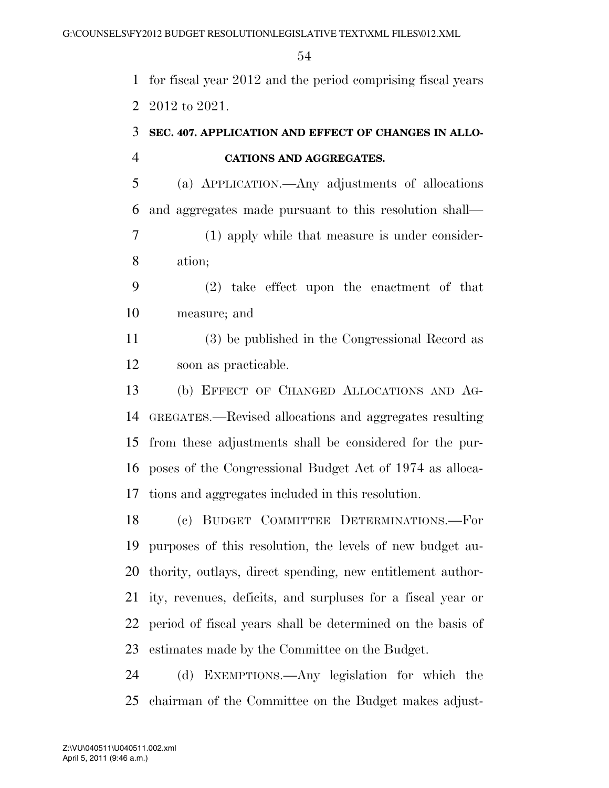for fiscal year 2012 and the period comprising fiscal years 2012 to 2021.

### **SEC. 407. APPLICATION AND EFFECT OF CHANGES IN ALLO-CATIONS AND AGGREGATES.**

 (a) APPLICATION.—Any adjustments of allocations and aggregates made pursuant to this resolution shall—

 (1) apply while that measure is under consider-ation;

 (2) take effect upon the enactment of that measure; and

 (3) be published in the Congressional Record as soon as practicable.

 (b) EFFECT OF CHANGED ALLOCATIONS AND AG- GREGATES.—Revised allocations and aggregates resulting from these adjustments shall be considered for the pur- poses of the Congressional Budget Act of 1974 as alloca-tions and aggregates included in this resolution.

 (c) BUDGET COMMITTEE DETERMINATIONS.—For purposes of this resolution, the levels of new budget au- thority, outlays, direct spending, new entitlement author- ity, revenues, deficits, and surpluses for a fiscal year or period of fiscal years shall be determined on the basis of estimates made by the Committee on the Budget.

 (d) EXEMPTIONS.—Any legislation for which the chairman of the Committee on the Budget makes adjust-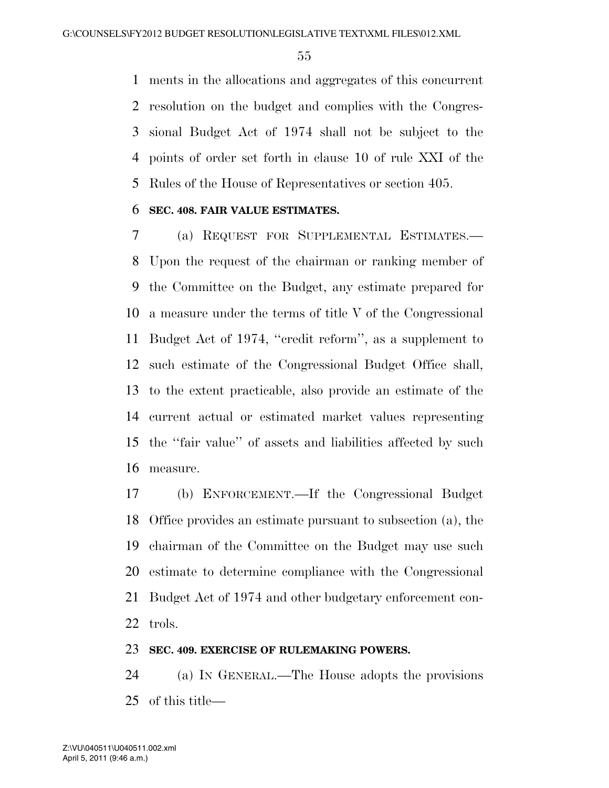ments in the allocations and aggregates of this concurrent resolution on the budget and complies with the Congres- sional Budget Act of 1974 shall not be subject to the points of order set forth in clause 10 of rule XXI of the Rules of the House of Representatives or section 405.

### **SEC. 408. FAIR VALUE ESTIMATES.**

 (a) REQUEST FOR SUPPLEMENTAL ESTIMATES.— Upon the request of the chairman or ranking member of the Committee on the Budget, any estimate prepared for a measure under the terms of title V of the Congressional Budget Act of 1974, ''credit reform'', as a supplement to such estimate of the Congressional Budget Office shall, to the extent practicable, also provide an estimate of the current actual or estimated market values representing the ''fair value'' of assets and liabilities affected by such measure.

 (b) ENFORCEMENT.—If the Congressional Budget Office provides an estimate pursuant to subsection (a), the chairman of the Committee on the Budget may use such estimate to determine compliance with the Congressional Budget Act of 1974 and other budgetary enforcement con-trols.

#### **SEC. 409. EXERCISE OF RULEMAKING POWERS.**

 (a) IN GENERAL.—The House adopts the provisions of this title—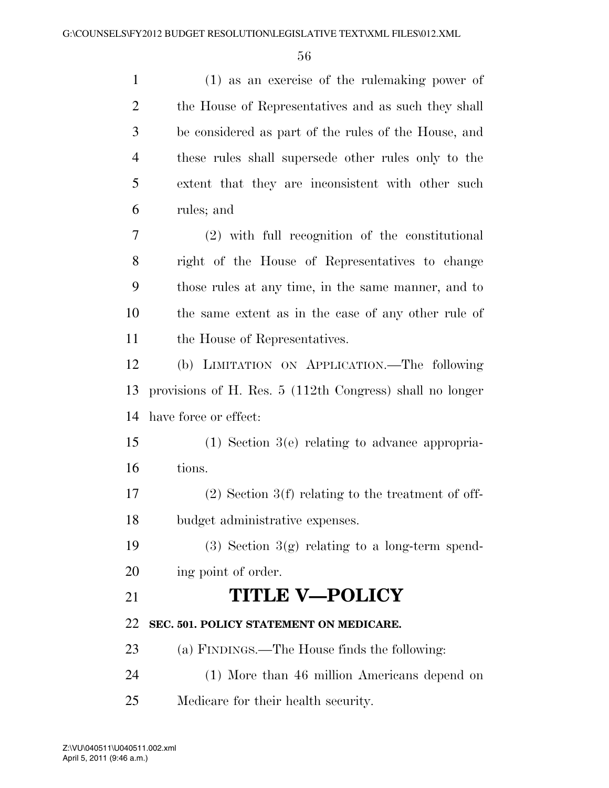(1) as an exercise of the rulemaking power of the House of Representatives and as such they shall be considered as part of the rules of the House, and these rules shall supersede other rules only to the extent that they are inconsistent with other such rules; and (2) with full recognition of the constitutional right of the House of Representatives to change those rules at any time, in the same manner, and to the same extent as in the case of any other rule of the House of Representatives. (b) LIMITATION ON APPLICATION.—The following provisions of H. Res. 5 (112th Congress) shall no longer have force or effect: (1) Section 3(e) relating to advance appropria- tions. (2) Section 3(f) relating to the treatment of off- budget administrative expenses. 19 (3) Section  $3(g)$  relating to a long-term spend- ing point of order. **TITLE V—POLICY SEC. 501. POLICY STATEMENT ON MEDICARE.**  (a) FINDINGS.—The House finds the following: (1) More than 46 million Americans depend on Medicare for their health security.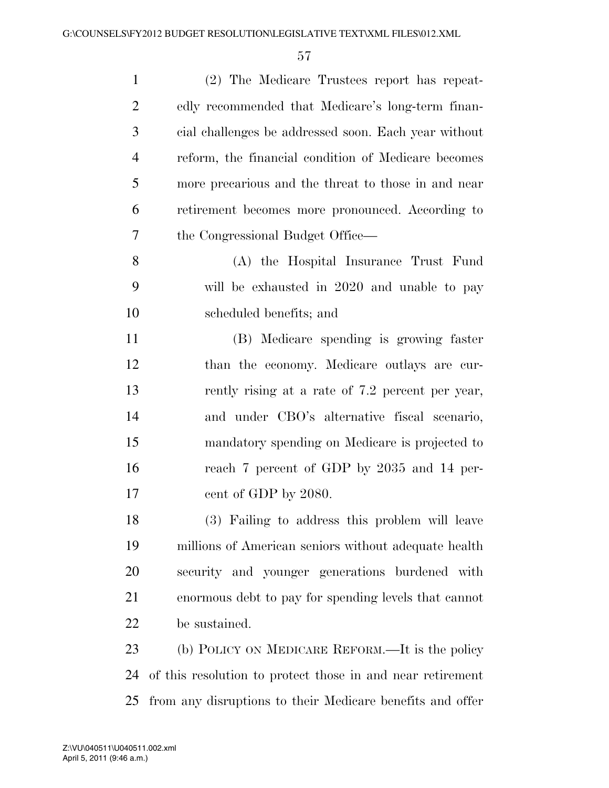| (2) The Medicare Trustees report has repeat-               |
|------------------------------------------------------------|
| edly recommended that Medicare's long-term finan-          |
| cial challenges be addressed soon. Each year without       |
| reform, the financial condition of Medicare becomes        |
| more precarious and the threat to those in and near        |
| retirement becomes more pronounced. According to           |
| the Congressional Budget Office—                           |
| (A) the Hospital Insurance Trust Fund                      |
| will be exhausted in 2020 and unable to pay                |
| scheduled benefits; and                                    |
| (B) Medicare spending is growing faster                    |
| than the economy. Medicare outlays are cur-                |
| rently rising at a rate of 7.2 percent per year,           |
| and under CBO's alternative fiscal scenario,               |
| mandatory spending on Medicare is projected to             |
| reach 7 percent of GDP by 2035 and 14 per-                 |
| cent of GDP by 2080.                                       |
| (3) Failing to address this problem will leave             |
| millions of American seniors without adequate health       |
| security and younger generations burdened with             |
| enormous debt to pay for spending levels that cannot       |
| be sustained.                                              |
| (b) POLICY ON MEDICARE REFORM.—It is the policy            |
| of this resolution to protect those in and near retirement |
|                                                            |

from any disruptions to their Medicare benefits and offer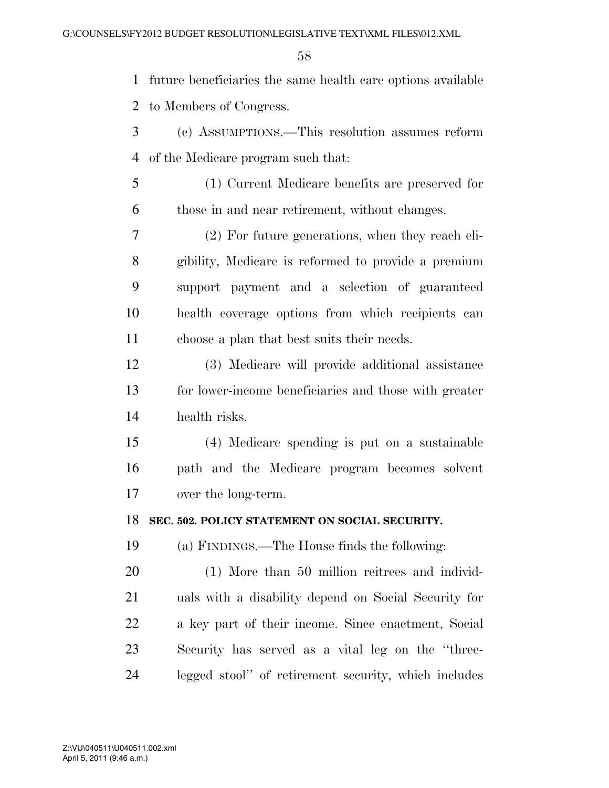future beneficiaries the same health care options available to Members of Congress.

- (c) ASSUMPTIONS.—This resolution assumes reform of the Medicare program such that:
- (1) Current Medicare benefits are preserved for those in and near retirement, without changes.

 (2) For future generations, when they reach eli- gibility, Medicare is reformed to provide a premium support payment and a selection of guaranteed health coverage options from which recipients can choose a plan that best suits their needs.

 (3) Medicare will provide additional assistance for lower-income beneficiaries and those with greater health risks.

 (4) Medicare spending is put on a sustainable path and the Medicare program becomes solvent over the long-term.

### **SEC. 502. POLICY STATEMENT ON SOCIAL SECURITY.**

(a) FINDINGS.—The House finds the following:

 (1) More than 50 million reitrees and individ- uals with a disability depend on Social Security for a key part of their income. Since enactment, Social Security has served as a vital leg on the ''three-legged stool'' of retirement security, which includes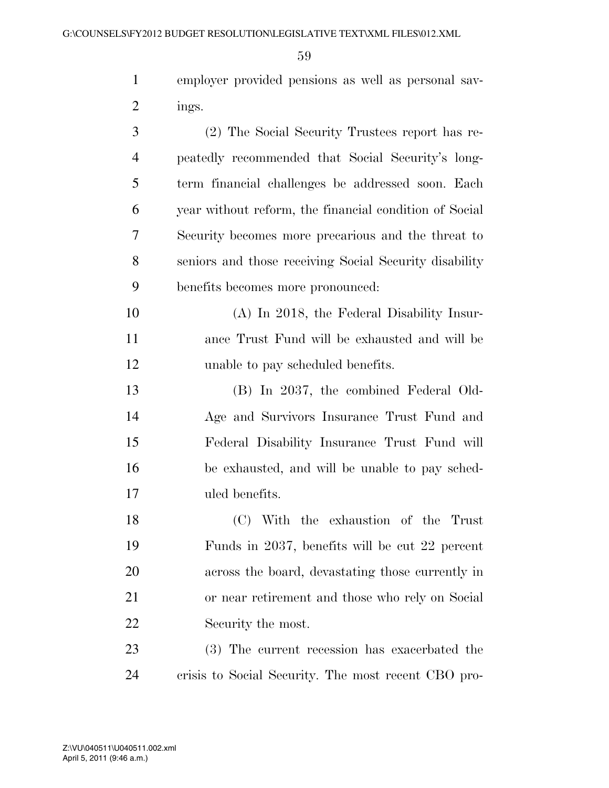| employer provided pensions as well as personal say- |
|-----------------------------------------------------|
| mgs.                                                |

| 3              | (2) The Social Security Trustees report has re-        |
|----------------|--------------------------------------------------------|
| $\overline{4}$ | peatedly recommended that Social Security's long-      |
| 5              | term financial challenges be addressed soon. Each      |
| 6              | year without reform, the financial condition of Social |
| 7              | Security becomes more precarious and the threat to     |
| 8              | seniors and those receiving Social Security disability |
| 9              | benefits becomes more pronounced:                      |
| 10             | (A) In 2018, the Federal Disability Insur-             |
| 11             | ance Trust Fund will be exhausted and will be          |
| 12             | unable to pay scheduled benefits.                      |
| 13             | $(R)$ In 2027 the combined Federal Old-                |

 (B) In 2037, the combined Federal Old- Age and Survivors Insurance Trust Fund and Federal Disability Insurance Trust Fund will be exhausted, and will be unable to pay sched-uled benefits.

 (C) With the exhaustion of the Trust Funds in 2037, benefits will be cut 22 percent across the board, devastating those currently in or near retirement and those who rely on Social Security the most.

 (3) The current recession has exacerbated the crisis to Social Security. The most recent CBO pro-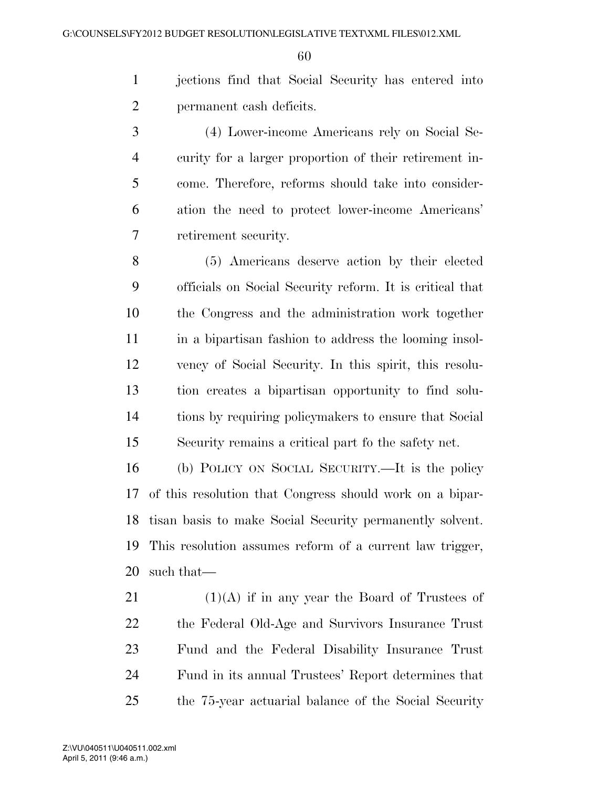jections find that Social Security has entered into permanent cash deficits.

 (4) Lower-income Americans rely on Social Se- curity for a larger proportion of their retirement in- come. Therefore, reforms should take into consider- ation the need to protect lower-income Americans' retirement security.

 (5) Americans deserve action by their elected officials on Social Security reform. It is critical that the Congress and the administration work together in a bipartisan fashion to address the looming insol- vency of Social Security. In this spirit, this resolu- tion creates a bipartisan opportunity to find solu- tions by requiring policymakers to ensure that Social Security remains a critical part fo the safety net.

 (b) POLICY ON SOCIAL SECURITY.—It is the policy of this resolution that Congress should work on a bipar- tisan basis to make Social Security permanently solvent. This resolution assumes reform of a current law trigger, such that—

 $(1)(A)$  if in any year the Board of Trustees of the Federal Old-Age and Survivors Insurance Trust Fund and the Federal Disability Insurance Trust Fund in its annual Trustees' Report determines that the 75-year actuarial balance of the Social Security

April 5, 2011 (9:46 a.m.) Z:\VU\040511\U040511.002.xml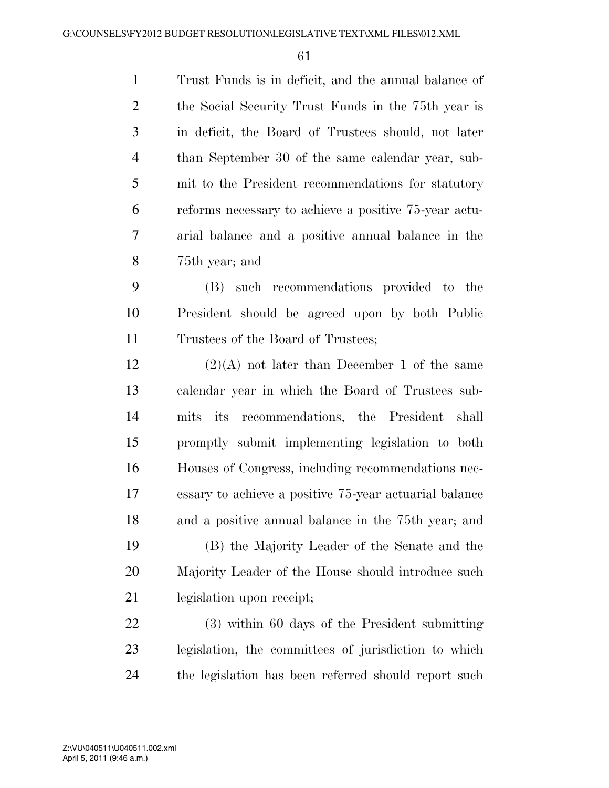Trust Funds is in deficit, and the annual balance of the Social Security Trust Funds in the 75th year is in deficit, the Board of Trustees should, not later than September 30 of the same calendar year, sub- mit to the President recommendations for statutory reforms necessary to achieve a positive 75-year actu- arial balance and a positive annual balance in the 75th year; and

 (B) such recommendations provided to the President should be agreed upon by both Public Trustees of the Board of Trustees;

12 (2)(A) not later than December 1 of the same calendar year in which the Board of Trustees sub- mits its recommendations, the President shall promptly submit implementing legislation to both Houses of Congress, including recommendations nec- essary to achieve a positive 75-year actuarial balance and a positive annual balance in the 75th year; and (B) the Majority Leader of the Senate and the

 Majority Leader of the House should introduce such legislation upon receipt;

 (3) within 60 days of the President submitting legislation, the committees of jurisdiction to which the legislation has been referred should report such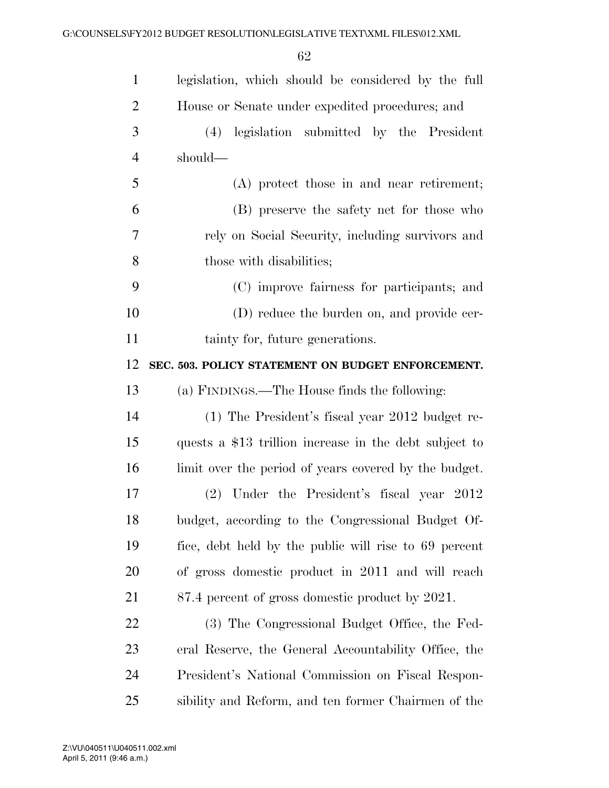| $\mathbf{1}$   | legislation, which should be considered by the full    |
|----------------|--------------------------------------------------------|
| $\overline{2}$ | House or Senate under expedited procedures; and        |
| 3              | legislation submitted by the President<br>(4)          |
| $\overline{4}$ | should—                                                |
| 5              | (A) protect those in and near retirement;              |
| 6              | (B) preserve the safety net for those who              |
| 7              | rely on Social Security, including survivors and       |
| 8              | those with disabilities;                               |
| 9              | (C) improve fairness for participants; and             |
| 10             | (D) reduce the burden on, and provide cer-             |
| 11             | tainty for, future generations.                        |
| 12             | SEC. 503. POLICY STATEMENT ON BUDGET ENFORCEMENT.      |
| 13             | (a) FINDINGS.—The House finds the following:           |
| 14             | (1) The President's fiscal year 2012 budget re-        |
| 15             | quests a \$13 trillion increase in the debt subject to |
| 16             | limit over the period of years covered by the budget.  |
| 17             | (2) Under the President's fiscal year 2012             |
| 18             | budget, according to the Congressional Budget Of-      |
| 19             | fice, debt held by the public will rise to 69 percent  |
| 20             | of gross domestic product in 2011 and will reach       |
| 21             | 87.4 percent of gross domestic product by 2021.        |
| <u>22</u>      | (3) The Congressional Budget Office, the Fed-          |
| 23             | eral Reserve, the General Accountability Office, the   |
| 24             | President's National Commission on Fiscal Respon-      |
| 25             | sibility and Reform, and ten former Chairmen of the    |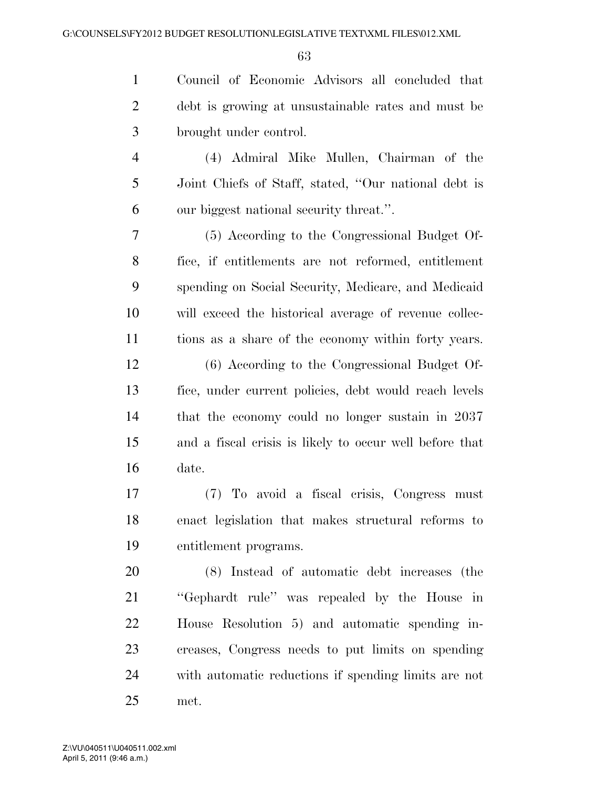| $\mathbf{1}$   | Council of Economic Advisors all concluded that         |
|----------------|---------------------------------------------------------|
| $\overline{2}$ | debt is growing at unsustainable rates and must be      |
| 3              | brought under control.                                  |
| $\overline{4}$ | (4) Admiral Mike Mullen, Chairman of the                |
| 5              | Joint Chiefs of Staff, stated, "Our national debt is    |
| 6              | our biggest national security threat.".                 |
| 7              | (5) According to the Congressional Budget Of-           |
| 8              | fice, if entitlements are not reformed, entitlement     |
| 9              | spending on Social Security, Medicare, and Medicaid     |
| 10             | will exceed the historical average of revenue collec-   |
| 11             | tions as a share of the economy within forty years.     |
| 12             | (6) According to the Congressional Budget Of-           |
| 13             | fice, under current policies, debt would reach levels   |
| 14             | that the economy could no longer sustain in 2037        |
| 15             | and a fiscal crisis is likely to occur well before that |
| 16             | date.                                                   |
| $17\,$         | (7) To avoid a fiscal crisis, Congress<br>must          |
| 18             | enact legislation that makes structural reforms to      |
| 19             | entitlement programs.                                   |
| 20             | (8) Instead of automatic debt increases (the            |
| 21             | "Gephardt rule" was repealed by the House in            |
| 22             | House Resolution 5) and automatic spending in-          |
| 23             | creases, Congress needs to put limits on spending       |
| 24             | with automatic reductions if spending limits are not    |
| 25             | met.                                                    |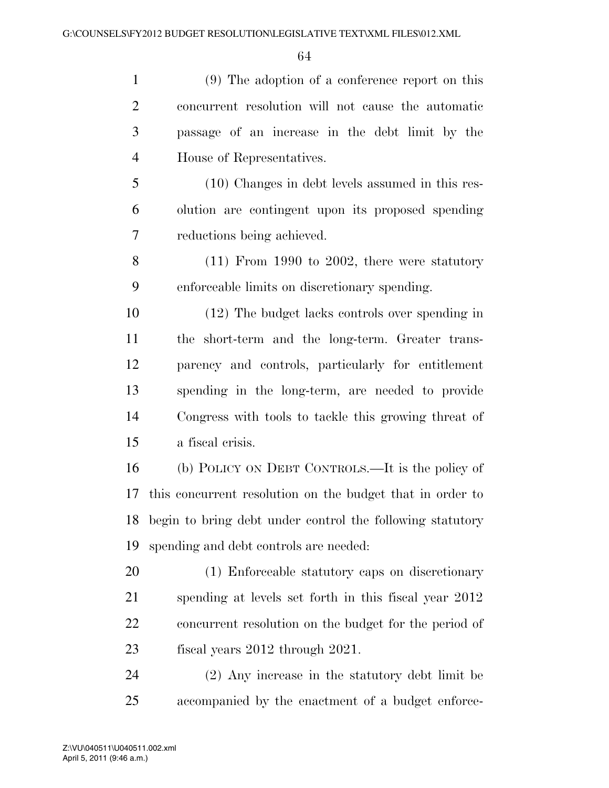(9) The adoption of a conference report on this concurrent resolution will not cause the automatic passage of an increase in the debt limit by the House of Representatives. (10) Changes in debt levels assumed in this res- olution are contingent upon its proposed spending reductions being achieved. (11) From 1990 to 2002, there were statutory enforceable limits on discretionary spending. (12) The budget lacks controls over spending in the short-term and the long-term. Greater trans- parency and controls, particularly for entitlement spending in the long-term, are needed to provide Congress with tools to tackle this growing threat of a fiscal crisis. (b) POLICY ON DEBT CONTROLS.—It is the policy of this concurrent resolution on the budget that in order to begin to bring debt under control the following statutory

spending and debt controls are needed:

 (1) Enforceable statutory caps on discretionary spending at levels set forth in this fiscal year 2012 concurrent resolution on the budget for the period of fiscal years 2012 through 2021.

 (2) Any increase in the statutory debt limit be accompanied by the enactment of a budget enforce-

April 5, 2011 (9:46 a.m.) Z:\VU\040511\U040511.002.xml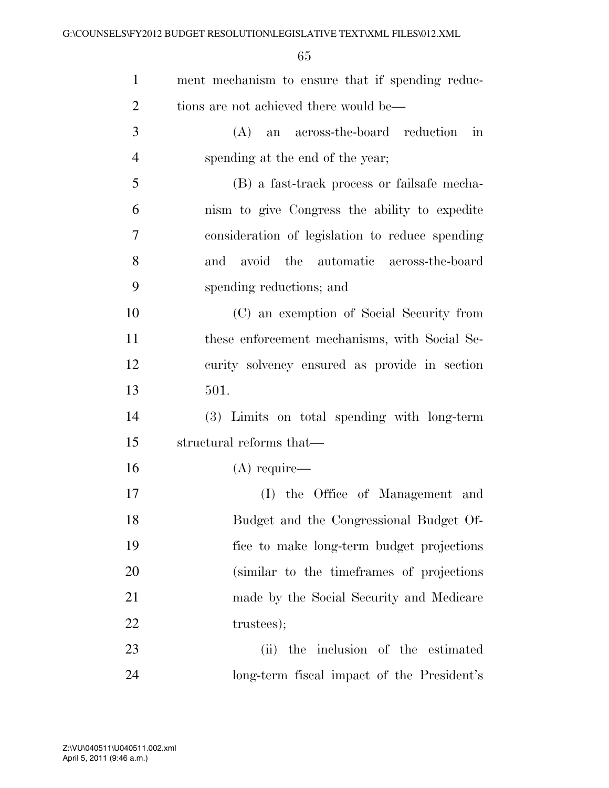| $\mathbf{1}$   | ment mechanism to ensure that if spending reduc- |
|----------------|--------------------------------------------------|
| $\overline{2}$ | tions are not achieved there would be—           |
| 3              | (A) an across-the-board reduction<br>in          |
| 4              | spending at the end of the year;                 |
| 5              | (B) a fast-track process or fails afe mecha-     |
| 6              | nism to give Congress the ability to expedite    |
| 7              | consideration of legislation to reduce spending  |
| 8              | and avoid the automatic across-the-board         |
| 9              | spending reductions; and                         |
| 10             | (C) an exemption of Social Security from         |
| 11             | these enforcement mechanisms, with Social Se-    |
| 12             | curity solvency ensured as provide in section    |
| 13             | 501.                                             |
| 14             | (3) Limits on total spending with long-term      |
| 15             | structural reforms that—                         |
| 16             | $(A)$ require—                                   |
| 17             | (I) the Office of Management and                 |
| 18             | Budget and the Congressional Budget Of-          |
| 19             | fice to make long-term budget projections        |
| 20             | (similar to the time frames of projections)      |
| 21             | made by the Social Security and Medicare         |
| 22             | trustees);                                       |
| 23             | (ii) the inclusion of the estimated              |
| 24             | long-term fiscal impact of the President's       |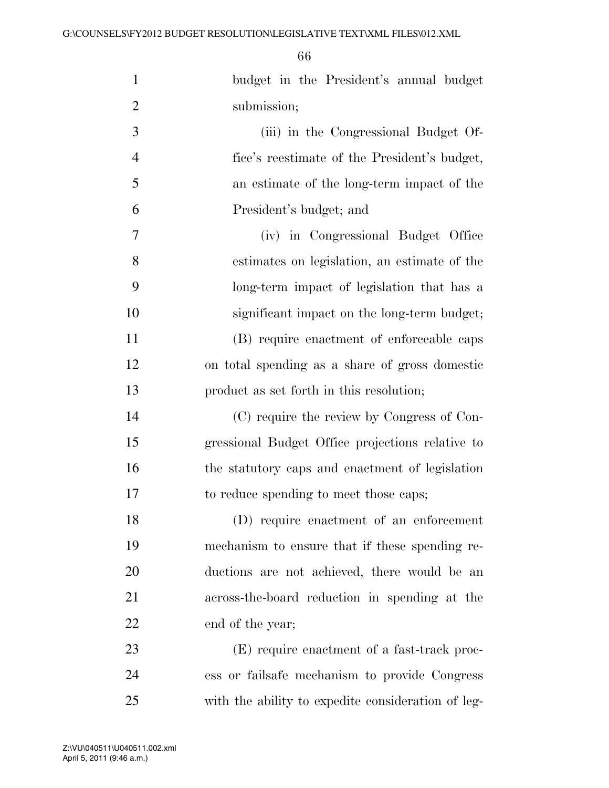| $\mathbf{1}$   | budget in the President's annual budget            |
|----------------|----------------------------------------------------|
| $\overline{2}$ | submission;                                        |
| 3              | (iii) in the Congressional Budget Of-              |
| $\overline{4}$ | fice's reestimate of the President's budget,       |
| 5              | an estimate of the long-term impact of the         |
| 6              | President's budget; and                            |
| 7              | (iv) in Congressional Budget Office                |
| 8              | estimates on legislation, an estimate of the       |
| 9              | long-term impact of legislation that has a         |
| 10             | significant impact on the long-term budget;        |
| 11             | (B) require enactment of enforceable caps          |
| 12             | on total spending as a share of gross domestic     |
| 13             | product as set forth in this resolution;           |
| 14             | (C) require the review by Congress of Con-         |
| 15             | gressional Budget Office projections relative to   |
| 16             | the statutory caps and enactment of legislation    |
| 17             | to reduce spending to meet those caps;             |
| 18             | (D) require enactment of an enforcement            |
| 19             | mechanism to ensure that if these spending re-     |
| 20             | ductions are not achieved, there would be an       |
| 21             | across-the-board reduction in spending at the      |
| 22             | end of the year;                                   |
| 23             | (E) require enactment of a fast-track proc-        |
| 24             | ess or failsafe mechanism to provide Congress      |
| 25             | with the ability to expedite consideration of leg- |